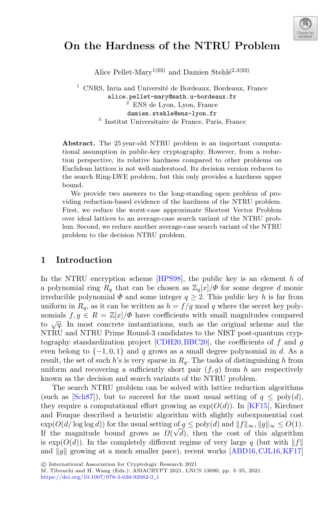

# **On the Hardness of the NTRU Problem**

Alice Pellet-Mary<sup>1( $\boxtimes$ )</sup> and Damien Stehl $\acute{e}^{2,3(\boxtimes)}$ 

 $1$  CNRS, Inria and Université de Bordeaux, Bordeaux, France alice.pellet-mary@math.u-bordeaux.fr <sup>2</sup> ENS de Lyon, Lyon, France damien.stehle@ens-lyon.fr <sup>3</sup> Institut Universitaire de France, Paris, France

**Abstract.** The 25 year-old NTRU problem is an important computational assumption in public-key cryptography. However, from a reduction perspective, its relative hardness compared to other problems on Euclidean lattices is not well-understood. Its decision version reduces to the search Ring-LWE problem, but this only provides a hardness upper bound.

We provide two answers to the long-standing open problem of providing reduction-based evidence of the hardness of the NTRU problem. First, we reduce the worst-case approximate Shortest Vector Problem over ideal lattices to an average-case search variant of the NTRU problem. Second, we reduce another average-case search variant of the NTRU problem to the decision NTRU problem.

## **1 Introduction**

In the NTRU encryption scheme  $[HPS98]$ , the public key is an element h of a polynomial ring  $R_q$  that can be chosen as  $\mathbb{Z}_q[x]/\Phi$  for some degree d monic irreducible polynomial  $\Phi$  and some integer  $q \geq 2$ . This public key h is far from uniform in  $R_q$ , as it can be written as  $h = f/g \mod q$  where the secret key polynomials  $f,g \in R = \mathbb{Z}[x]/\Phi$  have coefficients with small magnitudes compared to  $\sqrt{q}$ . In most concrete instantiations, such as the original scheme and the NTRU and NTRU Prime Round-3 candidates to the NIST post-quantum cryp-tography standardization project [\[CDH20](#page-30-0), [BBC20](#page-30-1)], the coefficients of f and g even belong to  $\{-1, 0, 1\}$  and q grows as a small degree polynomial in d. As a result, the set of such h's is very sparse in  $R_q$ . The tasks of distinguishing h from uniform and recovering a sufficiently short pair  $(f,g)$  from h are respectively known as the decision and search variants of the NTRU problem.

The search NTRU problem can be solved with lattice reduction algorithms (such as [\[Sch87\]](#page-32-0)), but to succeed for the most usual setting of  $q \leq poly(d)$ , they require a computational effort growing as  $\exp(O(d))$ . In [\[KF15](#page-31-1)], Kirchner and Fouque described a heuristic algorithm with slightly subexponential cost  $\exp(O(d/\log \log d))$  for the usual setting of  $q \leq \text{poly}(d)$  and  $||f||_{\infty}$ ,  $||q||_{\infty} \leq O(1)$ . If the magnitude bound grows as  $\Omega(\sqrt{d})$ , then the cost of this algorithm is  $\exp(O(d))$ . In the completely different regime of very large q (but with  $||f||$ and  $||g||$  growing at a much smaller pace), recent works [\[ABD16](#page-30-2), CJL16, KF17]

M. Tibouchi and H. Wang (Eds.): ASIACRYPT 2021, LNCS 13090, pp. 3–35, 2021.

[https://doi.org/10.1007/978-3-030-92062-3](https://doi.org/10.1007/978-3-030-92062-3_1)\_1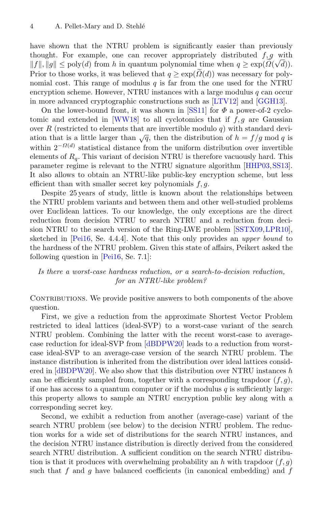have shown that the NTRU problem is significantly easier than previously thought. For example, one can recover appropriately distributed  $f, g$  with f, g & 4. Pellet-Mary and D. Stehlé<br>have shown that the NTRU problem is significantly easier than previously<br>thought. For example, one can recover appropriately distributed  $f, g$  with<br> $||f||, ||g|| ≤ \text{poly}(d)$  from h in quantum Prior to those works, it was believed that  $q \geq \text{supp}(\tilde{R})$ <br>Prior to those works, it was believed that  $q \geq \exp(\tilde{R})$ <br>Prior to those works, it was believed that  $q \geq \exp(\tilde{R})$ Prior to those works, it was believed that  $q > \exp(\tilde{Q}(d))$  was necessary for polynomial cost. This range of modulus q is far from the one used for the NTRU encryption scheme. However, NTRU instances with a large modulus  $q$  can occur in more advanced cryptographic constructions such as [\[LTV12](#page-31-3)] and [\[GGH13\]](#page-30-4).

On the lower-bound front, it was shown in [\[SS11\]](#page-32-1) for  $\Phi$  a power-of-2 cyclo-tomic and extended in [\[WW18\]](#page-32-2) to all cyclotomics that if  $f, g$  are Gaussian over R (restricted to elements that are invertible modulo  $q$ ) with standard deviation that is a little larger than  $\sqrt{q}$ , then the distribution of  $h = f/q \mod q$  is within  $2^{-\Omega(d)}$  statistical distance from the uniform distribution over invertible elements of  $R_q$ . This variant of decision NTRU is therefore vacuously hard. This parameter regime is relevant to the NTRU signature algorithm [\[HHP03,](#page-31-4)[SS13\]](#page-32-3). It also allows to obtain an NTRU-like public-key encryption scheme, but less efficient than with smaller secret key polynomials  $f, g$ .

Despite 25 years of study, little is known about the relationships between the NTRU problem variants and between them and other well-studied problems over Euclidean lattices. To our knowledge, the only exceptions are the direct reduction from decision NTRU to search NTRU and a reduction from decision NTRU to the search version of the Ring-LWE problem [\[SSTX09](#page-32-4)[,LPR10\]](#page-31-5), sketched in [\[Pei16](#page-31-6), Se. 4.4.4]. Note that this only provides an *upper bound* to the hardness of the NTRU problem. Given this state of affairs, Peikert asked the following question in [\[Pei16](#page-31-6), Se. 7.1]:

## *Is there a worst-case hardness reduction, or a search-to-decision reduction, for an NTRU-like problem?*

CONTRIBUTIONS. We provide positive answers to both components of the above question.

First, we give a reduction from the approximate Shortest Vector Problem restricted to ideal lattices (ideal-SVP) to a worst-case variant of the search NTRU problem. Combining the latter with the recent worst-case to averagecase reduction for ideal-SVP from [\[dBDPW20\]](#page-30-5) leads to a reduction from worstcase ideal-SVP to an average-case version of the search NTRU problem. The instance distribution is inherited from the distribution over ideal lattices considered in  $[dBDPW20]$ . We also show that this distribution over NTRU instances h can be efficiently sampled from, together with a corresponding trapdoor  $(f,g)$ , if one has access to a quantum computer or if the modulus  $q$  is sufficiently large: this property allows to sample an NTRU encryption public key along with a corresponding secret key.

Second, we exhibit a reduction from another (average-case) variant of the search NTRU problem (see below) to the decision NTRU problem. The reduction works for a wide set of distributions for the search NTRU instances, and the decision NTRU instance distribution is directly derived from the considered search NTRU distribution. A sufficient condition on the search NTRU distribution is that it produces with overwhelming probability an h with trapdoor  $(f,g)$ such that f and g have balanced coefficients (in canonical embedding) and f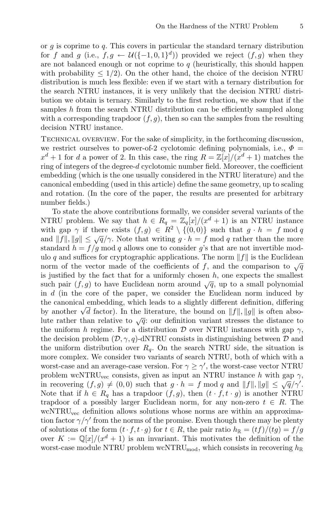or  $q$  is coprime to  $q$ . This covers in particular the standard ternary distribution for f and g (i.e.,  $f, g \leftarrow \mathcal{U}(\{-1, 0, 1\}^d)$ ) provided we reject  $(f, g)$  when they are not balanced enough or not coprime to  $q$  (heuristically, this should happen with probability  $\leq 1/2$ ). On the other hand, the choice of the decision NTRU distribution is much less flexible: even if we start with a ternary distribution for the search NTRU instances, it is very unlikely that the decision NTRU distribution we obtain is ternary. Similarly to the first reduction, we show that if the samples h from the search NTRU distribution can be efficiently sampled along with a corresponding trapdoor  $(f, g)$ , then so can the samples from the resulting decision NTRU instance.

Technical overview. For the sake of simplicity, in the forthcoming discussion, we restrict ourselves to power-of-2 cyclotomic defining polynomials, i.e.,  $\Phi =$  $x^{d} + 1$  for d a power of 2. In this case, the ring  $R = \mathbb{Z}[x]/(x^{d} + 1)$  matches the ring of integers of the degree-d cyclotomic number field. Moreover, the coefficient embedding (which is the one usually considered in the NTRU literature) and the canonical embedding (used in this article) define the same geometry, up to scaling and rotation. (In the core of the paper, the results are presented for arbitrary number fields.)

To state the above contributions formally, we consider several variants of the NTRU problem. We say that  $h \in R_q = \mathbb{Z}_q[x]/(x^d + 1)$  is an NTRU instance with gap  $\gamma$  if there exists  $(f,g) \in R^2 \setminus \{(0,0)\}$  such that  $g \cdot h = f \mod q$ and  $||f||, ||g|| \leq \sqrt{q}/\gamma$ . Note that writing  $g \cdot h = f \mod q$  rather than the more standard  $h = f/g \mod q$  allows one to consider g's that are not invertible modulo q and suffices for cryptographic applications. The norm  $||f||$  is the Euclidean norm of the vector made of the coefficients of f, and the comparison to  $\sqrt{q}$ is justified by the fact that for a uniformly chosen  $h$ , one expects the smallest such pair  $(f,g)$  to have Euclidean norm around  $\sqrt{q}$ , up to a small polynomial in d (in the core of the paper, we consider the Euclidean norm induced by the canonical embedding, which leads to a slightly different definition, differing by another  $\sqrt{d}$  factor). In the literature, the bound on  $||f||, ||g||$  is often absolute rather than relative to  $\sqrt{q}$ : our definition variant stresses the distance to the uniform h regime. For a distribution D over NTRU instances with gap  $\gamma$ , the decision problem  $(D, \gamma, q)$ -dNTRU consists in distinguishing between D and the uniform distribution over  $R_q$ . On the search NTRU side, the situation is more complex. We consider two variants of search NTRU, both of which with a worst-case and an average-case version. For  $\gamma \ge \gamma'$ , the worst-case vector NTRU problem wcNTRU<sub>vec</sub> consists, given as input an NTRU instance h with gap  $\gamma$ , in recovering  $(f,g) \neq (0,0)$  such that  $g \cdot h = f \mod q$  and  $||f||, ||g|| \leq \sqrt{q}/\gamma'$ . Note that if  $h \in R_q$  has a trapdoor  $(f, g)$ , then  $(t \cdot f, t \cdot g)$  is another NTRU trapdoor of a possibly larger Euclidean norm, for any non-zero  $t \in R$ . The wcNTRU<sub>vec</sub> definition allows solutions whose norms are within an approximation factor  $\gamma/\gamma'$  from the norms of the promise. Even though there may be plenty of solutions of the form  $(t \cdot f, t \cdot g)$  for  $t \in R$ , the pair ratio  $h_{\mathbb{R}} = (tf)/(tg) = f/g$ over  $K := \mathbb{Q}[x]/(x^d + 1)$  is an invariant. This motivates the definition of the worst-case module NTRU problem wcNTRU<sub>mod</sub>, which consists in recovering  $h_{\mathbb{R}}$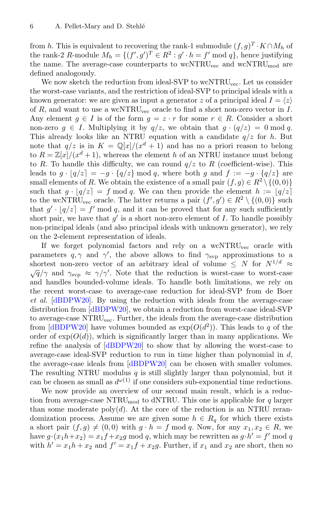from h. This is equivalent to recovering the rank-1 submodule  $(f,g)^T \cdot K \cap M_h$  of the rank-2 R-module  $M_h = \{ (f', g')^T \in R^2 : g' \cdot h = f' \bmod q \}$ , hence justifying the name. The average-case counterparts to  $wcNTRU_{vec}$  and  $wcNTRU_{mod}$  are defined analogously.

We now sketch the reduction from ideal-SVP to wcNTRU<sub>vec</sub>. Let us consider the worst-case variants, and the restriction of ideal-SVP to principal ideals with a known generator: we are given as input a generator z of a principal ideal  $I = \langle z \rangle$ of  $R$ , and want to use a wcNTRU<sub>vec</sub> oracle to find a short non-zero vector in  $I$ . Any element  $q \in I$  is of the form  $q = z \cdot r$  for some  $r \in R$ . Consider a short non-zero  $g \in I$ . Multiplying it by  $q/z$ , we obtain that  $g \cdot (q/z) = 0 \mod q$ . This already looks like an NTRU equation with a candidate  $q/z$  for h. But note that  $q/z$  is in  $K = \mathbb{Q}[x]/(x^d + 1)$  and has no a priori reason to belong to  $R = \mathbb{Z}[x]/(x^d + 1)$ , whereas the element h of an NTRU instance must belong to R. To handle this difficulty, we can round  $q/z$  to R (coefficient-wise). This leads to  $g \cdot |q/z| = -g \cdot \{q/z\}$  mod q, where both g and  $f := -g \cdot \{q/z\}$  are small elements of R. We obtain the existence of a small pair  $(f,g) \in R^2 \setminus \{(0,0)\}\$ such that  $g \cdot |q/z| = f \mod q$ . We can then provide the element  $h := |q/z|$ to the wcNTRU<sub>vec</sub> oracle. The latter returns a pair  $(f', g') \in R^2 \setminus \{(0, 0)\}$  such that  $g' \cdot |q/z| = f' \mod q$ , and it can be proved that for any such sufficiently short pair, we have that  $g'$  is a short non-zero element of I. To handle possibly non-principal ideals (and also principal ideals with unknown generator), we rely on the 2-element representation of ideals.

If we forget polynomial factors and rely on a  $\text{wc}NTRU_{\text{vec}}$  oracle with parameters  $q, \gamma$  and  $\gamma'$ , the above allows to find  $\gamma_{\rm{svp}}$  approximations to a shortest non-zero vector of an arbitrary ideal of volume  $\leq N$  for  $N^{1/d} \approx$  $\sqrt{q}/\gamma$  and  $\gamma_{\rm svo} \approx \gamma/\gamma'$ . Note that the reduction is worst-case to worst-case and handles bounded-volume ideals. To handle both limitations, we rely on the recent worst-case to average-case reduction for ideal-SVP from de Boer *et al.* [\[dBDPW20](#page-30-5)]. By using the reduction with ideals from the average-case distribution from [\[dBDPW20](#page-30-5)], we obtain a reduction from worst-case ideal-SVP to average-case NTRU<sub>vec</sub>. Further, the ideals from the average-case distribution from [\[dBDPW20](#page-30-5)] have volumes bounded as  $\exp(O(d^2))$ . This leads to q of the order of  $exp(O(d))$ , which is significantly larger than in many applications. We refine the analysis of [\[dBDPW20](#page-30-5)] to show that by allowing the worst-case to average-case ideal-SVP reduction to run in time higher than polynomial in  $d$ , the average-case ideals from [\[dBDPW20](#page-30-5)] can be chosen with smaller volumes. The resulting NTRU modulus  $q$  is still slightly larger than polynomial, but it can be chosen as small as  $d^{\omega(1)}$  if one considers sub-exponential time reductions.

We now provide an overview of our second main result, which is a reduction from average-case NTRU<sub>mod</sub> to dNTRU. This one is applicable for  $q$  larger than some moderate poly $(d)$ . At the core of the reduction is an NTRU rerandomization process. Assume we are given some  $h \in R_q$  for which there exists a short pair  $(f,g) \neq (0,0)$  with  $g \cdot h = f \mod q$ . Now, for any  $x_1, x_2 \in R$ , we have  $g \cdot (x_1 h + x_2) = x_1 f + x_2 g \mod q$ , which may be rewritten as  $g \cdot h' = f' \mod q$ with  $h' = x_1h + x_2$  and  $f' = x_1f + x_2g$ . Further, if  $x_1$  and  $x_2$  are short, then so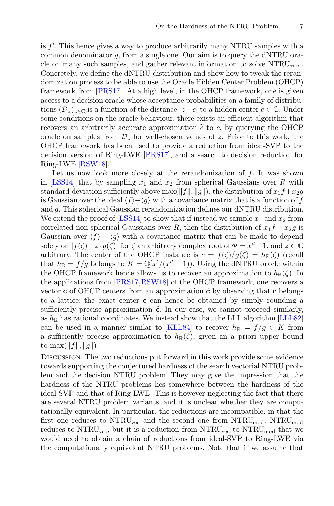is f . This hence gives a way to produce arbitrarily many NTRU samples with a common denominator  $q$ , from a single one. Our aim is to query the dNTRU oracle on many such samples, and gather relevant information to solve  $\rm NTRU_{mod}$ . Concretely, we define the dNTRU distribution and show how to tweak the rerandomization process to be able to use the Oracle Hidden Center Problem (OHCP) framework from [\[PRS17](#page-31-7)]. At a high level, in the OHCP framework, one is given access to a decision oracle whose acceptance probabilities on a family of distributions  $(\mathcal{D}_z)_{z\in\mathbb{C}}$  is a function of the distance  $|z-c|$  to a hidden center  $c\in\mathbb{C}$ . Under some conditions on the oracle behaviour, there exists an efficient algorithm that framework from [PRS17]. At a high level, in the C<br>access to a decision oracle whose acceptance proba<br>tions  $(\mathcal{D}_z)_{z \in \mathbb{C}}$  is a function of the distance  $|z - c|$  to<br>some conditions on the oracle behaviour, there ex<br>re recovers an arbitrarily accurate approximation  $\tilde{c}$  to c, by querying the OHCP oracle on samples from  $\mathcal{D}_z$  for well-chosen values of z. Prior to this work, the OHCP framework has been used to provide a reduction from ideal-SVP to the decision version of Ring-LWE [\[PRS17](#page-31-7)], and a search to decision reduction for Ring-LWE [\[RSW18\]](#page-32-5).

Let us now look more closely at the rerandomization of  $f$ . It was shown in [\[LSS14](#page-31-8)] that by sampling  $x_1$  and  $x_2$  from spherical Gaussians over R with standard deviation sufficiently above max( $||f||, ||g||$ ), the distribution of  $x_1f+x_2g$ is Gaussian over the ideal  $\langle f \rangle + \langle g \rangle$  with a covariance matrix that is a function of f and g. This spherical Gaussian rerandomization defines our dNTRU distribution. We extend the proof of [\[LSS14](#page-31-8)] to show that if instead we sample  $x_1$  and  $x_2$  from correlated non-spherical Gaussians over R, then the distribution of  $x_1f + x_2g$  is Gaussian over  $\langle f \rangle + \langle g \rangle$  with a covariance matrix that can be made to depend solely on  $|f(\zeta)-z\cdot g(\zeta)|$  for  $\zeta$  an arbitrary complex root of  $\Phi=x^d+1$ , and  $z\in\mathbb{C}$ arbitrary. The center of the OHCP instance is  $c = f(\zeta)/g(\zeta) = h_{\mathbb{R}}(\zeta)$  (recall that  $h_{\mathbb{R}} = f/g$  belongs to  $K = \mathbb{Q}[x]/(x^d + 1)$ ). Using the dNTRU oracle within the OHCP framework hence allows us to recover an approxi that  $h_{\mathbb{R}} = f/g$  belongs to  $K = \mathbb{Q}[x]/(x^d + 1)$ . Using the dNTRU oracle within that  $h_{\mathbb{R}}(-y/y)$  belongs to  $K = \mathbb{Q}[x]/(x + 1)$ . Using the divided order within<br>the OHCP framework hence allows us to recover an approximation to  $h_{\mathbb{R}}(\zeta)$ . In<br>the applications from [PRS17, RSW18] of the OHCP frame the applications from [\[PRS17](#page-31-7),[RSW18\]](#page-32-5) of the OHCP framework, one recovers a vector **c** of OHCP centers from an approximation  $\tilde{c}$  by observing that **c** belongs to a lattice: the exact center **c** can hence be obtained by simply rounding a sufficiently precise approximation  $\tilde{c}$ . In our case, we cannot proceed similarly, as  $h_{\mathbb{R}}$  has rational coordinates. We instead show that the LLL algorithm [\[LLL82\]](#page-31-9) can be used in a manner similar to [\[KLL84](#page-31-10)] to recover  $h_{\mathbb{R}} = f/g \in K$  from a sufficiently precise approximation to  $h_{\mathbb{R}}(\zeta)$ , given an a priori upper bound to  $\max(\|f\|, \|g\|).$ 

Discussion. The two reductions put forward in this work provide some evidence towards supporting the conjectured hardness of the search vectorial NTRU problem and the decision NTRU problem. They may give the impression that the hardness of the NTRU problems lies somewhere between the hardness of the ideal-SVP and that of Ring-LWE. This is however neglecting the fact that there are several NTRU problem variants, and it is unclear whether they are computationally equivalent. In particular, the reductions are incompatible, in that the first one reduces to  $\text{NTRU}_{\text{vec}}$  and the second one from  $\text{NTRU}_{\text{mod}}$ .  $\text{NTRU}_{\text{mod}}$ reduces to  $\text{NTRU}_{\text{vec}}$ , but it is a reduction from  $\text{NTRU}_{\text{vec}}$  to  $\text{NTRU}_{\text{mod}}$  that we would need to obtain a chain of reductions from ideal-SVP to Ring-LWE via the computationally equivalent NTRU problems. Note that if we assume that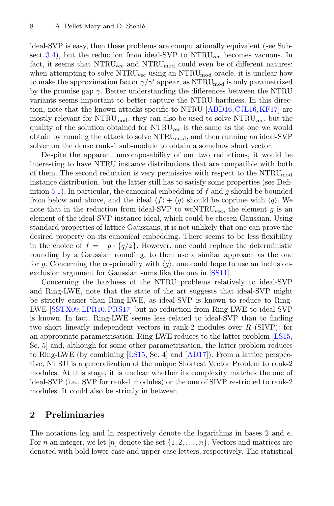ideal-SVP is easy, then these problems are computationally equivalent (see Subsect.  $3.4$ ), but the reduction from ideal-SVP to NTRU<sub>vec</sub> becomes vacuous. In fact, it seems that  $\text{NTRU}_{\text{vec}}$  and  $\text{NTRU}_{\text{mod}}$  could even be of different natures: when attempting to solve  $\text{NTRU}_{\text{vec}}$  using an  $\text{NTRU}_{\text{mod}}$  oracle, it is unclear how to make the approximation factor  $\gamma/\gamma'$  appear, as  $\rm NTRU_{mod}$  is only parametrized by the promise gap  $\gamma$ . Better understanding the differences between the NTRU variants seems important to better capture the NTRU hardness. In this direction, note that the known attacks specific to NTRU [\[ABD16](#page-30-2)[,CJL16](#page-30-3)[,KF17\]](#page-31-2) are mostly relevant for  $\text{NTRU}_{\text{mod}}$ : they can also be used to solve  $\text{NTRU}_{\text{vec}}$ , but the quality of the solution obtained for NTRU<sub>vec</sub> is the same as the one we would obtain by running the attack to solve  $\rm NTRU_{mod}$ , and then running an ideal-SVP solver on the dense rank-1 sub-module to obtain a somehow short vector.

Despite the apparent uncomposability of our two reductions, it would be interesting to have NTRU instance distributions that are compatible with both of them. The second reduction is very permissive with respect to the  $\rm NTRU_{mod}$ instance distribution, but the latter still has to satisfy some properties (see Defi-nition [5.1\)](#page-21-0). In particular, the canonical embedding of f and g should be bounded from below and above, and the ideal  $\langle f \rangle + \langle g \rangle$  should be coprime with  $\langle q \rangle$ . We note that in the reduction from ideal-SVP to wcNTRU<sub>vec</sub>, the element g is an element of the ideal-SVP instance ideal, which could be chosen Gaussian. Using standard properties of lattice Gaussians, it is not unlikely that one can prove the desired property on its canonical embedding. There seems to be less flexibility in the choice of  $f = -g \cdot \{q/z\}$ . However, one could replace the deterministic rounding by a Gaussian rounding, to then use a similar approach as the one for g. Concerning the co-primality with  $\langle g \rangle$ , one could hope to use an inclusionexclusion argument for Gaussian sums like the one in [\[SS11](#page-32-1)].

Concerning the hardness of the NTRU problems relatively to ideal-SVP and Ring-LWE, note that the state of the art suggests that ideal-SVP might be strictly easier than Ring-LWE, as ideal-SVP is known to reduce to Ring-LWE [\[SSTX09](#page-32-4)[,LPR10,](#page-31-5)[PRS17](#page-31-7)] but no reduction from Ring-LWE to ideal-SVP is known. In fact, Ring-LWE seems less related to ideal-SVP than to finding two short linearly independent vectors in rank-2 modules over  $R$  (SIVP): for an appropriate parametrisation, Ring-LWE reduces to the latter problem [\[LS15](#page-31-11), Se. 5] and, although for some other parametrisation, the latter problem reduces to Ring-LWE (by combining [\[LS15](#page-31-11), Se. 4] and [\[AD17](#page-30-6)]). From a lattice perspective, NTRU is a generalization of the unique Shortest Vector Problem to rank-2 modules. At this stage, it is unclear whether its complexity matches the one of ideal-SVP (i.e., SVP for rank-1 modules) or the one of SIVP restricted to rank-2 modules. It could also be strictly in between.

## **2 Preliminaries**

The notations log and ln respectively denote the logarithms in bases 2 and e. For n an integer, we let |n| denote the set  $\{1, 2, \ldots, n\}$ . Vectors and matrices are denoted with bold lower-case and upper-case letters, respectively. The statistical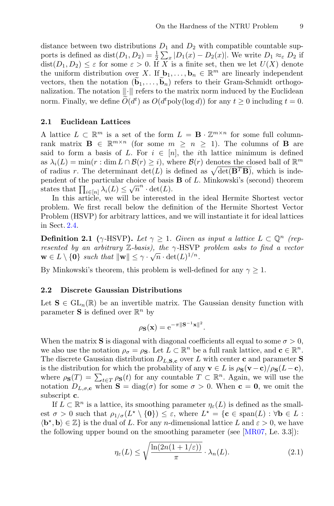distance between two distributions  $D_1$  and  $D_2$  with compatible countable supports is defined as  $dist(D_1, D_2) = \frac{1}{2} \sum_x |D_1(x) - D_2(x)|$ . We write  $D_1 \approx_{\varepsilon} D_2$  if  $dist(D_1, D_2) \leq \varepsilon$  for some  $\varepsilon > 0$ . If X is a finite set, then we let  $U(X)$  denote the uniform distribution over X. If  $\mathbf{b}_1, \ldots, \mathbf{b}_n \in \mathbb{R}^m$  are linearly independent distance between two distributions  $D$ <br>ports is defined as dist $(D_1, D_2) = \frac{1}{2} \sum$ <br>dist $(D_1, D_2) \leq \varepsilon$  for some  $\varepsilon > 0$ . If  $D$ <br>the uniform distribution over  $X$ . If I<br>vectors, then the notation  $(\widetilde{\mathbf{b}}_1, \dots, \widetilde{\$ vectors, then the notation  $(\mathbf{b}_1,\ldots,\mathbf{b}_n)$  refers to their Gram-Schmidt orthogonalization. The notation  $\|\cdot\|$  refers to the matrix norm induced by the Euclidean ports is defined as  $dist(D_1)$ <br>dist $(D_1, D_2) \leq \varepsilon$  for some<br>the uniform distribution c<br>vectors, then the notation<br>nalization. The notation  $\parallel$ <br>norm. Finally, we define  $\tilde{O}$  $(d<sup>t</sup>)$  as  $O(d<sup>t</sup> \text{poly}(\log d))$  for any  $t \ge 0$  including  $t = 0$ .

#### **2.1 Euclidean Lattices**

A lattice  $L \subset \mathbb{R}^m$  is a set of the form  $L = \mathbf{B} \cdot \mathbb{Z}^{m \times n}$  for some full columnrank matrix  $\mathbf{B} \in \mathbb{R}^{m \times n}$  (for some  $m \geq n \geq 1$ ). The columns of **B** are said to form a basis of L. For  $i \in [n]$ , the *i*th lattice minimum is defined as  $\lambda_i(L) = \min(r : \dim L \cap \mathcal{B}(r) \geq i)$ , where  $\mathcal{B}(r)$  denotes the closed ball of  $\mathbb{R}^m$  of radius r. The determinant  $\det(L)$  is defined as  $\sqrt{\det(\mathbf{B}^T \mathbf{B})}$ , which is inde-**2.1 Euclidean Lattices**<br>A lattice  $L \subset \mathbb{R}^m$  is a set of the form  $L = \mathbf{B} \cdot \mathbb{Z}^{m \times n}$  for some full column-<br>rank matrix  $\mathbf{B} \in \mathbb{R}^{m \times n}$  (for some  $m \ge n \ge 1$ ). The columns of  $\mathbf{B}$  are<br>said to form a bas pendent of the particular choice of basis **B** of L. Minkowski's (second) theorem rank matrix  $\mathbf{B} \in \mathbb{R}^{m \times n}$  (for some  $m$ <br>said to form a basis of  $L$ . For  $i \in [r$ <br>as  $\lambda_i(L) = \min(r : \dim L \cap \mathcal{B}(r) \geq i)$ , wo<br>of radius  $r$ . The determinant  $\det(L)$  is<br>pendent of the particular choice of basis<br>states tha

In this article, we will be interested in the ideal Hermite Shortest vector problem. We first recall below the definition of the Hermite Shortest Vector Problem (HSVP) for arbitrary lattices, and we will instantiate it for ideal lattices in Sect. [2.4.](#page-8-0)

**Definition 2.1** ( $\gamma$ -HSVP). Let  $\gamma \geq 1$ . Given as input a lattice  $L \subset \mathbb{Q}^n$  (rep*resented by an arbitrary* Z*-basis), the* γ*-*HSVP *problem asks to find a vector*  $\mathbf{w} \in L \setminus \{\mathbf{0}\}$  *such that*  $\|\mathbf{w}\| \leq \gamma \cdot \sqrt{n} \cdot \det(L)^{1/n}$ .

By Minkowski's theorem, this problem is well-defined for any  $\gamma \geq 1$ .

#### **2.2 Discrete Gaussian Distributions**

Let  $\mathbf{S} \in GL_n(\mathbb{R})$  be an invertible matrix. The Gaussian density function with parameter **S** is defined over  $\mathbb{R}^n$  by

$$
\rho_{\mathbf{S}}(\mathbf{x}) = e^{-\pi \|\mathbf{S}^{-1}\mathbf{x}\|^2}.
$$

When the matrix **S** is diagonal with diagonal coefficients all equal to some  $\sigma > 0$ , we also use the notation  $\rho_{\sigma} = \rho_{\mathbf{S}}$ . Let  $L \subset \mathbb{R}^n$  be a full rank lattice, and  $\mathbf{c} \in \mathbb{R}^n$ . The discrete Gaussian distribution  $D_{L,\mathbf{S},\mathbf{c}}$  over L with center **c** and parameter **S** is the distribution for which the probability of any **v** ∈ L is  $\rho_{\mathbf{S}}(\mathbf{v}-\mathbf{c})/\rho_{\mathbf{S}}(L-\mathbf{c})$ , When the matrix **S** is diagonal with diagonal coefficients all equal to some  $\sigma > 0$ ,<br>we also use the notation  $\rho_{\sigma} = \rho_{\mathbf{S}}$ . Let  $L \subset \mathbb{R}^n$  be a full rank lattice, and  $\mathbf{c} \in \mathbb{R}^n$ .<br>The discrete Gaussian di notation  $D_{L,\sigma,\mathbf{c}}$  when  $\mathbf{S} = \text{diag}(\sigma)$  for some  $\sigma > 0$ . When  $\mathbf{c} = \mathbf{0}$ , we omit the subscript **c**.

If  $L \subset \mathbb{R}^n$  is a lattice, its smoothing parameter  $\eta_{\varepsilon}(L)$  is defined as the smallest  $\sigma > 0$  such that  $\rho_{1/\sigma}(L^* \setminus \{0\}) \leq \varepsilon$ , where  $L^* = {\bf c} \in \text{span}(L) : \forall {\bf b} \in L$ :  $\langle \mathbf{b}^*, \mathbf{b} \rangle \in \mathbb{Z}$  is the dual of L. For any *n*-dimensional lattice L and  $\varepsilon > 0$ , we have the following upper bound on the smoothing parameter (see [\[MR07](#page-31-12), Le. 3.3]):

<span id="page-6-0"></span>
$$
\eta_{\varepsilon}(L) \le \sqrt{\frac{\ln(2n(1+1/\varepsilon))}{\pi}} \cdot \lambda_n(L). \tag{2.1}
$$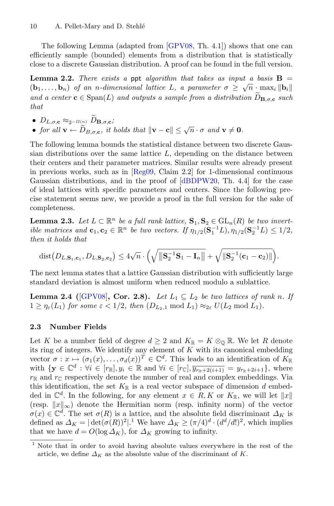The following Lemma (adapted from [\[GPV08](#page-30-7), Th. 4.1]) shows that one can efficiently sample (bounded) elements from a distribution that is statistically close to a discrete Gaussian distribution. A proof can be found in the full version.

<span id="page-7-2"></span>**Lemma 2.2.** *There exists a* ppt *algorithm that takes as input a basis*  $\mathbf{B}$  =  $(\mathbf{b}_1,\ldots,\mathbf{b}_n)$  *of an n-dimensional lattice* L, a parameter  $\sigma \geq \sqrt{n} \cdot \max_i ||\mathbf{b}_i||$ *a* efficiently sample (bounded) elements from a distribution that is st close to a discrete Gaussian distribution. A proof can be found in the full **Lemma 2.2.** *There exists a ppt algorithm that takes as input a b*  $(b_1$ and a center  $\mathbf{c} \in \text{Span}(L)$  and outputs a sample from a distribution  $D_{\mathbf{B},\sigma,\mathbf{c}}$  such *that* **Lemma 2.2.** There exis<br> **b**<sub>1</sub>,...,**b**<sub>n</sub>) of an n-dim<br>
and a center **c**  $\in$  Span(*L*)<br>
that<br>
•  $D_{L,\sigma,\mathbf{c}} \approx_{2^{-\Omega(n)}} \tilde{D}_{\mathbf{B},\sigma,\mathbf{c}}$ ; *for an n-dimensional lattice L, a parameter* $\sigma \ge$ **<br>
and a center <b>c**  $\in$  Span(*L*) and outputs a sample from a distribution<br> **v**  $D_{L,\sigma,\mathbf{c}} \approx_2 - \Omega(n) \widetilde{D}_{\mathbf{B},\sigma,\mathbf{c}}$ ;<br>
• for all  $\mathbf{v} \leftarrow \widetilde{D}_{B,\sigma,\mathbf{c}}$ , it

- 
- 

The following lemma bounds the statistical distance between two discrete Gaussian distributions over the same lattice  $L$ , depending on the distance between their centers and their parameter matrices. Similar results were already present in previous works, such as in  $[Reg09, Claim 2.2]$  $[Reg09, Claim 2.2]$  for 1-dimensional continuous Gaussian distributions, and in the proof of [\[dBDPW20](#page-30-5), Th. 4.4] for the case of ideal lattices with specific parameters and centers. Since the following precise statement seems new, we provide a proof in the full version for the sake of completeness.

<span id="page-7-3"></span>**Lemma 2.3.** *Let*  $L \subset \mathbb{R}^n$  *be a full rank lattice*,  $\mathbf{S}_1, \mathbf{S}_2 \in \text{GL}_n(R)$  *be two invertible matrices and*  $\mathbf{c}_1, \mathbf{c}_2 \in \mathbb{R}^n$  *be two vectors. If*  $\eta_{1/2}(\mathbf{S}_1^{-1}L), \eta_{1/2}(\mathbf{S}_2^{-1}L) \leq 1/2$ , *then it holds that* mplet<br>mma<br>e ma<br>en it<br>dist(

$$
\text{dist}(D_{L,\mathbf{S}_1,\mathbf{c}_1},D_{L,\mathbf{S}_2,\mathbf{c}_2}) \leq 4\sqrt{n} \cdot \left( \sqrt{\|\mathbf{S}_2^{-1}\mathbf{S}_1 - \mathbf{I}_n\|} + \sqrt{\|\mathbf{S}_2^{-1}(\mathbf{c}_1 - \mathbf{c}_2)\|} \right).
$$

<span id="page-7-4"></span>The next lemma states that a lattice Gaussian distribution with sufficiently large standard deviation is almost uniform when reduced modulo a sublattice.

**Lemma 2.4** ( $[GPV08]$ , Cor. 2.8). *Let*  $L_1 \subseteq L_2$  *be two lattices of rank n. If*  $1 \geq \eta_{\varepsilon}(L_1)$  *for some*  $\varepsilon < 1/2$ *, then*  $(D_{L_2,1} \bmod L_1) \approx_{2\varepsilon} U(L_2 \bmod L_1)$ *.* 

#### <span id="page-7-1"></span>**2.3 Number Fields**

Let K be a number field of degree  $d \geq 2$  and  $K_{\mathbb{R}} = K \otimes_{\mathbb{Q}} \mathbb{R}$ . We let R denote its ring of integers. We identify any element of  $K$  with its canonical embedding vector  $\sigma: x \mapsto (\sigma_1(x), \ldots, \sigma_d(x))^T \in \mathbb{C}^d$ . This leads to an identification of  $K_{\mathbb{R}}$ with  $\{y \in \mathbb{C}^d : \forall i \in [r_{\mathbb{R}}], y_i \in \mathbb{R} \text{ and } \forall i \in [r_{\mathbb{C}}], \overline{y_{r_{\mathbb{R}}+2(i+1)}} = y_{r_{\mathbb{R}}+2i+1}\},\$  where  $r_{\mathbb{R}}$  and  $r_{\mathbb{C}}$  respectively denote the number of real and complex embeddings. Via this identification, the set  $K_{\mathbb{R}}$  is a real vector subspace of dimension d embedded in  $\mathbb{C}^d$ . In the following, for any element  $x \in R, K$  or  $K_{\mathbb{R}}$ , we will let  $||x||$ (resp.  $||x||_{\infty}$ ) denote the Hermitian norm (resp. infinity norm) of the vector  $\sigma(x) \in \mathbb{C}^d$ . The set  $\sigma(R)$  is a lattice, and the absolute field discriminant  $\Delta_K$  is defined as  $\Delta_K = |\det(\sigma(R))^2|$ .<sup>[1](#page-7-0)</sup> We have  $\Delta_K \geq (\pi/4)^d \cdot (d^d/d!)^2$ , which implies that we have  $d = O(\log \Delta_K)$ , for  $\Delta_K$  growing to infinity.

<span id="page-7-0"></span><sup>&</sup>lt;sup>1</sup> Note that in order to avoid having absolute values everywhere in the rest of the article, we define  $\Delta_K$  as the absolute value of the discriminant of K.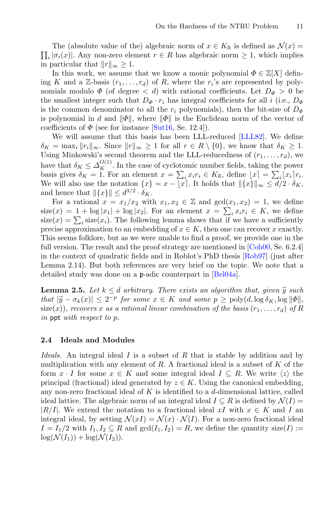$\prod_i |\sigma_i(x)|$ . Any non-zero element  $r \in R$  has algebraic norm  $\geq 1$ , which implies The (absolute value of the) algebraic norm of  $x \in K_{\mathbb{R}}$  is defined as  $\mathcal{N}(x) =$ in particular that  $||r||_{\infty} \geq 1$ .

In this work, we assume that we know a monic polynomial  $\Phi \in \mathbb{Z}[X]$  defining K and a Z-basis  $(r_1,\ldots,r_d)$  of R, where the  $r_i$ 's are represented by polynomials modulo  $\Phi$  (of degree  $\langle d \rangle$ ) with rational coefficients. Let  $D_{\Phi} > 0$  be the smallest integer such that  $D_{\Phi} \cdot r_i$  has integral coefficients for all i (i.e.,  $D_{\Phi}$ ) is the common denominator to all the  $r_i$  polynomials), then the bit-size of  $D_{\Phi}$ is polynomial in d and  $\|\Phi\|$ , where  $\|\Phi\|$  is the Euclidean norm of the vector of coefficients of  $\Phi$  (see for instance [\[Sut16](#page-32-6), Se. 12.4]).

We will assume that this basis has been LLL-reduced [\[LLL82\]](#page-31-9). We define  $\delta_K = \max_i ||r_i||_\infty$ . Since  $||r||_\infty \geq 1$  for all  $r \in R \setminus \{0\}$ , we know that  $\delta_K \geq 1$ . Using Minkowski's second theorem and the LLL-reducedness of  $(r_1,\ldots,r_d)$ , we have that  $\delta_K \leq \Delta_K^{O(1)}$ . In the case of cyclotomic number fields, taking the power coefficients of  $\Phi$  (see for instance [Sut16, Se. 12.4]).<br>
We will assume that this basis has been LLL-reduced [LLL82]. We define<br>  $\delta_K = \max_i ||r_i||_{\infty}$ . Since  $||r||_{\infty} \ge 1$  for all  $r \in R \setminus \{0\}$ , we know that  $\delta_K \ge 1$ .<br> We will also use the notation  $\{x\} = x - \lfloor x \rfloor$ . It holds that  $\|\{x\}\|_{\infty} \leq d/2 \cdot \delta_K$ , and hence that  $\|\{x\}\| \leq d^{3/2} \cdot \delta_K$ . have that  $\delta_K \leq \Delta_K^{O(1)}$ . In the case of cyclotomic number fibasis gives  $\delta_K = 1$ . For an element  $x = \sum_i x_i r_i \in K_{\mathbb{R}}$ , d<br>We will also use the notation  $\{x\} = x - \lfloor x \rfloor$ . It holds that<br>and hence that  $\|\{x\}\| \leq d^{3/2} \$ basis gives  $\delta$ <br>We will also<br>and hence there if<br>For a rat<br>size(x) =  $\sum$ <br>size(x) =  $\sum$ 

For a rational  $x = x_1/x_2$  with  $x_1, x_2 \in \mathbb{Z}$  and  $gcd(x_1, x_2) = 1$ , we define size(x) = 1 + log|x<sub>1</sub>| + log|x<sub>2</sub>|. For an element  $x = \sum_i x_i r_i \in K$ , we define  $size(x) = \sum_{i} size(x_i)$ . The following lemma shows that if we have a sufficiently precise approximation to an embedding of  $x \in K$ , then one can recover x exactly. This seems folklore, but as we were unable to find a proof, we provide one in the full version. The result and the proof strategy are mentioned in [\[Coh00,](#page-30-8) Se. 6.2.4] in the context of quadratic fields and in Roblot's PhD thesis [\[Rob97\]](#page-32-7) (just after Lemma 2.14). But both references are very brief on the topic. We note that a detailed study was done on a p-adic counterpart in [\[Bel04a\]](#page-30-9). **Lemma 2.5.** *Let*  $k \leq d$  *arbitrary. There exists an algorithm that, given*  $\tilde{y}$  **Lemma 2.5.** *Let*  $k \leq d$  *arbitrary. There exists an algorithm that, given*  $\tilde{y}$  **Lemma 2.5.** *Let*  $k \leq d$  *arbitrary. There ex that*  $|\tilde{y} - \sigma_k(x)| \leq 2^{-p}$  *for some*  $x \in K$  *and some*  $p \geq \text{poly}(k)$  (just after Lemma 2.14). But both references are very brief on the topic. We note that a detailed study was done on a **p**-adic counterpart in [Bel04

<span id="page-8-1"></span>**Lemma 2.5.** Let  $k \leq d$  arbitrary. There exists an algorithm that, given  $\widetilde{y}$  such  $size(x)$ *), recovers* x *as a rational linear combination of the basis*  $(r_1, \ldots, r_d)$  *of* R *in* ppt *with respect to* p*.*

#### <span id="page-8-0"></span>**2.4 Ideals and Modules**

*Ideals.* An integral ideal I is a subset of R that is stable by addition and by multiplication with any element of R. A fractional ideal is a subset of  $K$  of the form  $x \cdot I$  for some  $x \in K$  and some integral ideal  $I \subseteq R$ . We write  $\langle z \rangle$  the principal (fractional) ideal generated by  $z \in K$ . Using the canonical embedding, any non-zero fractional ideal of  $K$  is identified to a  $d$ -dimensional lattice, called ideal lattice. The algebraic norm of an integral ideal  $I \subseteq R$  is defined by  $\mathcal{N}(I) =$  $|R/I|$ . We extend the notation to a fractional ideal xI with  $x \in K$  and I and integral ideal, by setting  $\mathcal{N}(xI) = \mathcal{N}(x) \cdot \mathcal{N}(I)$ . For a non-zero fractional ideal  $I = I_1/2$  with  $I_1, I_2 \subseteq R$  and  $gcd(I_1, I_2) = R$ , we define the quantity size(I) :=  $\log(N(I_1)) + \log(N(I_2)).$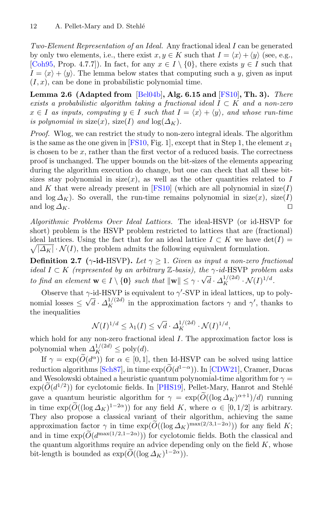*Two-Element Representation of an Ideal.* Any fractional ideal I can be generated by only two elements, i.e., there exist  $x, y \in K$  such that  $I = \langle x \rangle + \langle y \rangle$  (see, e.g., [\[Coh95,](#page-30-10) Prop. 4.7.7]). In fact, for any  $x \in I \setminus \{0\}$ , there exists  $y \in I$  such that  $I = \langle x \rangle + \langle y \rangle$ . The lemma below states that computing such a y, given as input  $(I, x)$ , can be done in probabilistic polynomial time.

<span id="page-9-0"></span>**Lemma 2.6 (Adapted from** [\[Bel04b](#page-30-11)]**, Alg. 6.15 and** [\[FS10](#page-30-12)]**, Th. 3).** *There exists a probabilistic algorithm taking a fractional ideal* I ⊂ K *and a non-zero*  $x \in I$  as inputs, computing  $y \in I$  such that  $I = \langle x \rangle + \langle y \rangle$ , and whose run-time *is polynomial in* size(x), size(I) and  $log(\Delta_K)$ .

*Proof.* Wlog, we can restrict the study to non-zero integral ideals. The algorithm is the same as the one given in [\[FS10](#page-30-12), Fig. 1], except that in Step 1, the element  $x_1$ is chosen to be x, rather than the first vector of a reduced basis. The correctness proof is unchanged. The upper bounds on the bit-sizes of the elements appearing during the algorithm execution do change, but one can check that all these bitsizes stay polynomial in size(x), as well as the other quantities related to I and K that were already present in [\[FS10\]](#page-30-12) (which are all polynomial in  $size(I)$ and  $\log \Delta_K$ ). So overall, the run-time remains polynomial in size(x), size(I) and  $\log \Delta_K$ .

*Algorithmic Problems Over Ideal Lattices.* The ideal-HSVP (or id-HSVP for short) problem is the HSVP problem restricted to lattices that are (fractional) ideal lattices. Using the fact that for an ideal lattice  $I \subset K$  we have  $\det(I) =$  $\sqrt{|\Delta_K| \cdot \mathcal{N}(I)}$ , the problem admits the following equivalent formulation.

**Definition 2.7** ( $\gamma$ -id-HSVP). Let  $\gamma \geq 1$ . Given as input a non-zero fractional *ideal* <sup>I</sup> <sup>⊂</sup> <sup>K</sup> *(represented by an arbitrary* <sup>Z</sup>*-basis), the* <sup>γ</sup>*-id-*HSVP *problem asks to find an element*  $\mathbf{w} \in I \setminus \{\mathbf{0}\}$  *such that*  $\|\mathbf{w}\| \leq \gamma \cdot \sqrt{d} \cdot \Delta_K^{1/(2d)} \cdot \mathcal{N}(I)^{1/d}$ .

Observe that  $\gamma$ -id-HSVP is equivalent to  $\gamma$ -SVP in ideal lattices, up to polynomial losses  $\leq \sqrt{d} \cdot \Delta_K^{1/(2d)}$  in the approximation factors  $\gamma$  and  $\gamma'$ , thanks to the inequalities

$$
\mathcal{N}(I)^{1/d} \le \lambda_1(I) \le \sqrt{d} \cdot \Delta_K^{1/(2d)} \cdot \mathcal{N}(I)^{1/d},
$$

which hold for any non-zero fractional ideal I. The approximation factor loss is polynomial when  $\Delta_K^{1/(2d)} \le \text{poly}(d)$ . If  $\gamma = \exp(\tilde{O}$  $\mathcal{N}(I)^{1/d} \leq \lambda_1(I) \leq \sqrt{d}$ .<br>which hold for any non-zero fractional idea<br>polynomial when  $\Delta_K^{1/(2d)} \leq \text{poly}(d)$ .<br>If  $\gamma = \exp(\tilde{O}(d^{\alpha}))$  for  $\alpha \in [0, 1]$ , then induction algorithms [\[Sch87](#page-32-0)], in time  $\exp(\tilde{O})$ 

If  $\gamma = \exp(\tilde{O}(d^{\alpha}))$  for  $\alpha \in [0, 1]$ , then Id-HSVP can be solved using lattice reduction algorithms [Sch87], in time  $\exp(\widetilde{O}(d^{1-\alpha}))$ . In [\[CDW21](#page-30-13)], Cramer, Ducas and Wesolowski obtained a heuristic quantum polynomial-time algorithm for  $\gamma =$  $\begin{array}{c} \text{when} \\ \text{polyne} \\ \text{reduct} \\ \text{and } \text{W} \\ \text{exp}(\widetilde{O}) \end{array}$  $\exp(\widetilde{O}(d^{1/2}))$  for cyclotomic fields. In [\[PHS19\]](#page-31-14), Pellet-Mary, Hanrot and Stehlé If  $\gamma = \exp(\tilde{O}(d^{\alpha}))$  for  $\alpha \in [0, 1]$ , then Id-HSVP can be solved using lattice<br>reduction algorithms [Sch87], in time  $\exp(\tilde{O}(d^{1-\alpha}))$ . In [CDW21], Cramer, Ducas<br>and Wesolowski obtained a heuristic quantum polynomial-ti reduction algorithm<br>reduction algorithm<br> $\exp(\widetilde{O}(d^{1/2}))$  for a quantum in time  $\exp(\widetilde{O}(d^{1/2}))$ in time  $\exp(\widetilde{O}((\log \Delta_K)^{1-2\alpha}))$  for any field K, where  $\alpha \in [0, 1/2]$  is arbitrary. They also propose a classical variant of their algorithm, achieving the same and wesolowski obtained a neuristic quantum polynomial-time algorithm for  $\gamma = \exp(\tilde{O}(d^{1/2}))$  for cyclotomic fields. In [PHS19], Pellet-Mary, Hanrot and Stehlé gave a quantum heuristic algorithm for  $\gamma = \exp(\tilde{O}((\log \Delta_K)^{\alpha+$ gave a quantum h<br>in time  $\exp(\widetilde{O}((\log \text{They aiso})^{\text{max}}))$ <br>They also propose<br>approximation factor and in time  $\exp(\widetilde{O})$ and in time  $\exp(\widetilde{O}(d^{\max(1/2,1-2\alpha)}))$  for cyclotomic fields. Both the classical and the quantum algorithms require an advice depending only on the field  $K$ , whose in time  $\exp(O((\log \Delta_K)^{-1}))$ <br>They also propose a classical<br>approximation factor  $\gamma$  in time<br>and in time  $\exp(\widetilde{O}(d^{\max(1/2,1-2)}))$ <br>the quantum algorithms require<br>bit-length is bounded as  $\exp(\widetilde{O})$ bit-length is bounded as  $\exp(\widetilde{O}((\log \Delta_K)^{1-2\alpha}))$ .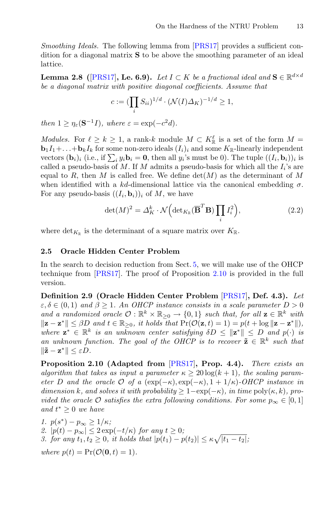*Smoothing Ideals.* The following lemma from [\[PRS17\]](#page-31-7) provides a sufficient condition for a diagonal matrix **S** to be above the smoothing parameter of an ideal lattice. matrix  $S$ <br>
7], **Le.** 6<br>
with pos

<span id="page-10-2"></span>**Lemma 2.8 (**[\[PRS17\]](#page-31-7), **Le. 6.9**). *Let*  $I \subset K$  *be a fractional ideal and*  $\mathbf{S} \in \mathbb{R}^{d \times d}$ *be a diagonal matrix with positive diagonal coefficients. Assume that*

$$
c:= (\prod_i S_{ii})^{1/d} \cdot (\mathcal{N}(I)\Delta_K)^{-1/d} \geq 1,
$$

*then*  $1 > \eta_{\varepsilon}(\mathbf{S}^{-1}I)$ *, where*  $\varepsilon = \exp(-c^2d)$ *.* 

*Modules.* For  $\ell \geq k \geq 1$ , a rank-k module  $M \subset K_{\mathbb{R}}^{\ell}$  is a set of the form  $M =$  $\mathbf{b}_1 I_1 + \ldots + \mathbf{b}_k I_k$  for some non-zero ideals  $(I_i)_i$  and some  $K_{\mathbb{R}}$ -linearly independent then  $1 \geq \eta_{\varepsilon}(\mathbf{S}^{-1}I)$ , wh<br> *Modules*. For  $\ell \geq k \geq$ <br> **b**<sub>1</sub> $I_1 + \ldots + \mathbf{b}_k I_k$  for son<br>
vectors  $(\mathbf{b}_i)_i$  (i.e., if  $\sum$  $i_j y_i \mathbf{b}_i = \mathbf{0}$ , then all  $y_i$ 's must be 0). The tuple  $((I_i, \mathbf{b}_i))_i$  is called a pseudo-basis of M. If M admits a pseudo-basis for which all the  $I_i$ 's are equal to R, then M is called free. We define  $det(M)$  as the determinant of M when identified with a kd-dimensional lattice via the canonical embedding  $\sigma$ . For any pseudo-basis  $((I_i, \mathbf{b}_i))_i$  of M, we have then all  $y_i$  s must be  $0$ ,<br>admits a pseudo-basis :<br>e. We define det(*M*) as<br>isional lattice via the of *M*, we have<br> $\frac{k}{K} \cdot \mathcal{N} \left( \det_{K_{\mathbb{R}}} (\overline{\mathbf{B}}^T \mathbf{B}) \prod_{i=1}^{K}$ 

$$
\det(M)^2 = \Delta_K^k \cdot \mathcal{N}\Big(\det_{K_{\mathbb{R}}}(\overline{\mathbf{B}}^T \mathbf{B}) \prod_i I_i^2\Big),\tag{2.2}
$$

where  $\det_{K_{\mathbb{R}}}$  is the determinant of a square matrix over  $K_{\mathbb{R}}$ .

#### **2.5 Oracle Hidden Center Problem**

In the search to decision reduction from Sect. [5,](#page-21-1) we will make use of the OHCP technique from [\[PRS17\]](#page-31-7). The proof of Proposition [2.10](#page-10-0) is provided in the full version.

<span id="page-10-1"></span>**Definition 2.9 (Oracle Hidden Center Problem** [\[PRS17](#page-31-7)]**, Def. 4.3).** *Let*  $\varepsilon, \delta \in (0,1)$  and  $\beta \geq 1$ . An OHCP instance consists in a scale parameter  $D > 0$ *and a randomized oracle*  $\mathcal{O}: \mathbb{R}^k \times \mathbb{R}_{\geq 0} \to \{0, 1\}$  *such that, for all*  $\mathbf{z} \in \mathbb{R}^k$  *with*  $\|\mathbf{z} - \mathbf{z}^*\| \leq \beta D$  *and*  $t \in \mathbb{R}_{\geq 0}$ , *it holds that*  $\Pr(\mathcal{O}(\mathbf{z}, t) = 1) = p(t + \log \|\mathbf{z} - \mathbf{z}^*\|)$ , *where*  $z^* \in \mathbb{R}^k$  *is an unknown center satisfying*  $\delta D \le ||z^*|| \le D$  *and*  $p(\cdot)$  *is* an unknown function. The goal of the OHCP is to recover  $\tilde{z} \in \mathbb{R}^k$  such that  $\|\tilde{\mathbf{z}} - \mathbf{z}^*\| \leq \varepsilon D$ .

<span id="page-10-0"></span>**Proposition 2.10 (Adapted from** [\[PRS17](#page-31-7)]**, Prop. 4.4).** *There exists an algorithm that takes as input a parameter*  $\kappa \geq 20 \log(k+1)$ , the scaling param*eter* D *and the oracle*  $\mathcal{O}$  *of a* (exp( $-\kappa$ ), exp( $-\kappa$ ), 1 + 1/ $\kappa$ )*-OHCP instance in dimension* k*, and solves it with probability*  $\geq 1 - \exp(-\kappa)$ *, in time*  $\text{poly}(\kappa, k)$ *, provided the oracle*  $\mathcal O$  *satisfies the extra following conditions. For some*  $p_{\infty} \in [0,1]$ *and*  $t^* \geq 0$  *we have* 

*1.*  $p(s^*) - p_\infty \geq 1/\kappa;$ 2.  $|p(t) - p_{\infty}| \leq 2 \exp(-t/\kappa)$  *for any*  $t \geq 0$ *; 3. for any*  $t_1, t_2 \geq 0$ , *it holds that*  $|p(t_1) - p(t_2)| \leq \kappa \sqrt{|t_1 - t_2|}$ ; *where*  $p(t) = Pr(O(0, t) = 1)$ *.*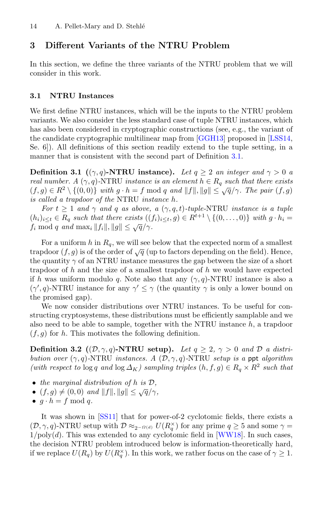## **3 Different Variants of the NTRU Problem**

In this section, we define the three variants of the NTRU problem that we will consider in this work.

#### **3.1 NTRU Instances**

We first define NTRU instances, which will be the inputs to the NTRU problem variants. We also consider the less standard case of tuple NTRU instances, which has also been considered in cryptographic constructions (see, e.g., the variant of the candidate cryptographic multilinear map from [\[GGH13](#page-30-4)] proposed in [\[LSS14](#page-31-8), Se. 6]). All definitions of this section readily extend to the tuple setting, in a manner that is consistent with the second part of Definition [3.1.](#page-11-0)

<span id="page-11-0"></span>**Definition 3.1** (( $\gamma$ ,  $q$ )**-NTRU** instance). Let  $q \geq 2$  *an integer and*  $\gamma > 0$  *a real number.* A  $(\gamma, q)$ -NTRU *instance is an element*  $h \in R_q$  *such that there exists*  $(f,g) \in R^2 \setminus \{(0,0)\}$  *with*  $g \cdot h = f \mod q$  *and*  $||f||, ||g|| \leq \sqrt{q}/\gamma$ . The pair  $(f,g)$ *is called a trapdoor of the* NTRU *instance* h*.*

*For*  $t \geq 1$  *and*  $\gamma$  *and*  $q$  *as above, a*  $(\gamma, q, t)$ *-tuple*-NTRU *instance is a tuple*  $(h_i)_{i\leq t} \in R_q$  such that there exists  $((f_i)_{i\leq t}, g) \in R^{t+1} \setminus \{(0,\ldots,0)\}$  with  $g \cdot h_i =$  $f_i \bmod q$  *and*  $\max_i ||f_i||, ||g|| \leq \sqrt{q}/\gamma$ .

For a uniform h in  $R_q$ , we will see below that the expected norm of a smallest trapdoor  $(f,g)$  is of the order of  $\sqrt{q}$  (up to factors depending on the field). Hence, the quantity  $\gamma$  of an NTRU instance measures the gap between the size of a short trapdoor of h and the size of a smallest trapdoor of h we would have expected if h was uniform modulo q. Note also that any  $(\gamma, q)$ -NTRU instance is also a  $(\gamma', q)$ -NTRU instance for any  $\gamma' \leq \gamma$  (the quantity  $\gamma$  is only a lower bound on the promised gap).

We now consider distributions over NTRU instances. To be useful for constructing cryptosystems, these distributions must be efficiently samplable and we also need to be able to sample, together with the NTRU instance  $h$ , a trapdoor  $(f, g)$  for h. This motivates the following definition.

**Definition 3.2**  $((\mathcal{D}, \gamma, q)$ -NTRU setup). Let  $q \geq 2$ ,  $\gamma > 0$  and  $\mathcal{D}$  a distri*bution over*  $(\gamma, q)$ -NTRU *instances.* A  $(D, \gamma, q)$ -NTRU *setup is a* ppt *algorithm (with respect to*  $\log q$  *and*  $\log \Delta_K$ *) sampling triples*  $(h, f, g) \in R_q \times R^2$  *such that* 

- *the marginal distribution of* h *is* D*,*
- $(f, g) \neq (0, 0)$  *and*  $||f||, ||g|| \leq \sqrt{q}/\gamma$ *,*
- $g \cdot h = f \mod q$ .

It was shown in [\[SS11\]](#page-32-1) that for power-of-2 cyclotomic fields, there exists a  $(D, \gamma, q)$ -NTRU setup with  $\mathcal{D} \approx_{2^{-\Omega(d)}} U(R_q^{\times})$  for any prime  $q \ge 5$  and some  $\gamma =$  $1/\text{poly}(d)$ . This was extended to any cyclotomic field in [\[WW18](#page-32-2)]. In such cases, the decision NTRU problem introduced below is information-theoretically hard, if we replace  $U(R_q)$  by  $U(R_q^{\times})$ . In this work, we rather focus on the case of  $\gamma \geq 1$ .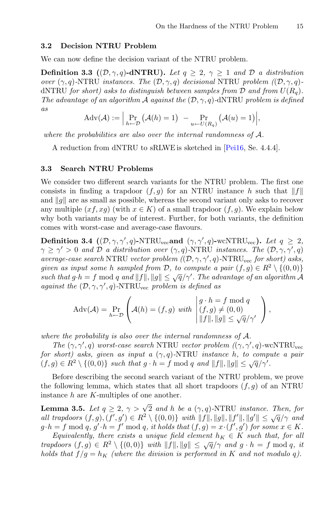#### **3.2 Decision NTRU Problem**

We can now define the decision variant of the NTRU problem.

**Definition 3.3**  $((\mathcal{D}, \gamma, q)$ **-dNTRU).** *Let*  $q \geq 2$ ,  $\gamma \geq 1$  *and*  $\mathcal{D}$  *a distribution over* ( $\gamma$ , q)-NTRU *instances. The* ( $D$ ,  $\gamma$ , q) *decisional* NTRU *problem* ( $(D, \gamma, q)$ ) dNTRU *for short*) asks to distinguish between samples from  $D$  and from  $U(R_q)$ . *The advantage of an algorithm* A *against the*  $(D, \gamma, q)$ -dNTRU *problem is defined as* **RU).** Let  $q \geq 2$ ,  $\gamma \geq 1$  and  $\mathcal{D}$ <br>he  $(\mathcal{D}, \gamma, q)$  decisional NTRU prob-<br>nguish between samples from  $\mathcal{D}$  and<br> $\mathcal{A}$  against the  $(\mathcal{D}, \gamma, q)$ -dNTRU prob-<br> $\mathcal{A}(h) = 1$   $\Pr_{u \leftarrow U(R_q)} (A(u) = 1)$ 

$$
Adv(\mathcal{A}) := \Big| \Pr_{h \leftarrow \mathcal{D}} (\mathcal{A}(h) = 1) - \Pr_{u \leftarrow U(R_q)} (\mathcal{A}(u) = 1) \Big|,
$$

*where the probabilities are also over the internal randomness of* A*.*

A reduction from dNTRU to sRLWE is sketched in [\[Pei16,](#page-31-6) Se. 4.4.4].

#### **3.3 Search NTRU Problems**

We consider two different search variants for the NTRU problem. The first one consists in finding a trapdoor  $(f,g)$  for an NTRU instance h such that  $||f||$ and  $\|q\|$  are as small as possible, whereas the second variant only asks to recover any multiple  $(x, g)$  (with  $x \in K$ ) of a small trapdoor  $(f, g)$ . We explain below why both variants may be of interest. Further, for both variants, the definition comes with worst-case and average-case flavours.

**Definition 3.4**  $((\mathcal{D}, \gamma, \gamma', q)$ -NTRU<sub>vec</sub>and  $(\gamma, \gamma', q)$ -wcNTRU<sub>vec</sub>). Let  $q \geq 2$ ,  $\gamma \geq \gamma' > 0$  and  $\mathcal{D}$  a distribution over  $(\gamma, q)$ -NTRU *instances. The*  $(\mathcal{D}, \gamma, \gamma', q)$ *average-case search* NTRU *vector problem (*(D, γ, γ , q)*-*NTRUvec *for short) asks, given as input some h sampled from*  $D$ , to compute a pair  $(f, g) \in R^2 \setminus \{(0, 0)\}$ *such that*  $g \cdot h = f \mod q$  *and*  $||f||, ||g|| \leq \sqrt{q}/\gamma'$ . The advantage of an algorithm A *against the*  $(D, \gamma, \gamma', q)$ -NTRU<sub>vec</sub> problem is defined as

$$
Adv(\mathcal{A}) = \Pr_{h \leftarrow \mathcal{D}} \left( \mathcal{A}(h) = (f, g) \text{ with } \begin{vmatrix} g \cdot h = f \bmod q \\ (f, g) \neq (0, 0) \\ \|f\|, \|g\| \leq \sqrt{q}/\gamma' \end{vmatrix}, \right)
$$

*where the probability is also over the internal randomness of* A*.*

*The*  $(\gamma, \gamma', q)$  *worst-case search* NTRU *vector problem*  $((\gamma, \gamma', q)$ -wcNTRU<sub>vec</sub> *for short) asks, given as input a*  $(\gamma, q)$ -NTRU *instance* h, to compute a pair  $(f,g) \in R^2 \setminus \{(0,0)\}$  such that  $g \cdot h = f \text{ mod } q$  and  $||f||, ||g|| \leq \sqrt{q}/\gamma'.$ 

Before describing the second search variant of the NTRU problem, we prove the following lemma, which states that all short trapdoors  $(f, g)$  of an NTRU instance h are K-multiples of one another.

<span id="page-12-0"></span>**Lemma 3.5.** *Let*  $q \geq 2$ ,  $\gamma > \sqrt{2}$  *and h be a*  $(\gamma, q)$ -NTRU *instance. Then, for all trapdoors*  $(f, g), (f', g') \in R^2 \setminus \{(0, 0)\}$  *with*  $||f||, ||g||, ||f'||, ||g'|| \le \sqrt{q}/\gamma$  *and*  $g \cdot h = f \mod q$ ,  $g' \cdot h = f' \mod q$ , it holds that  $(f, g) = x \cdot (f', g')$  for some  $x \in K$ .

*Equivalently, there exists a unique field element*  $h_K \in K$  *such that, for all trapdoors*  $(f,g) \in R^2 \setminus \{(0,0)\}$  *with*  $||f||, ||g|| \leq \sqrt{q}/\gamma$  *and*  $g \cdot h = f \mod q$ , *it holds that*  $f/g = h_K$  *(where the division is performed in* K *and not modulo q)*.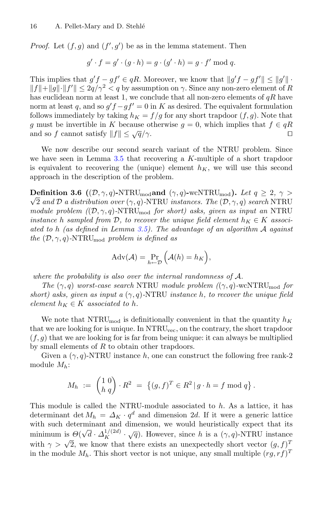*Proof.* Let  $(f, g)$  and  $(f', g')$  be as in the lemma statement. Then

$$
g' \cdot f = g' \cdot (g \cdot h) = g \cdot (g' \cdot h) = g \cdot f' \bmod q.
$$

This implies that  $g'f - gf' \in qR$ . Moreover, we know that  $||g'f - gf'|| \le ||g'|| \cdot$  $||f|| + ||g|| \cdot ||f'|| \leq 2q/\gamma^2 < q$  by assumption on  $\gamma$ . Since any non-zero element of R has euclidean norm at least 1, we conclude that all non-zero elements of  $qR$  have norm at least q, and so  $g'f - gf' = 0$  in K as desired. The equivalent formulation follows immediately by taking  $h_K = f/g$  for any short trapdoor  $(f, g)$ . Note that g must be invertible in K because otherwise  $g = 0$ , which implies that  $f \in qR$ <br>and so f cannot satisfy  $||f|| \le \sqrt{q}/\gamma$ . and so f cannot satisfy  $||f|| \leq \sqrt{q}/\gamma$ .

We now describe our second search variant of the NTRU problem. Since we have seen in Lemma [3.5](#page-12-0) that recovering a K-multiple of a short trapdoor is equivalent to recovering the (unique) element  $h_K$ , we will use this second approach in the description of the problem.

**Definition 3.6** (( $D, \gamma, q$ )-NTRU<sub>mod</sub> and ( $\gamma, q$ )-wcNTRU<sub>mod</sub>). Let  $q \ge 2, \gamma >$ √ 2 *and* D *a distribution over* (γ,q)*-*NTRU *instances. The* (D, γ,q) *search* NTRU *module problem (*(D, γ,q)*-*NTRUmod *for short) asks, given as input an* NTRU *instance* h *sampled from*  $D$ , to recover the unique field element  $h_K \in K$  *associated to* h *(as defined in Lemma [3.5\)](#page-12-0). The advantage of an algorithm* A *against the*  $(D, \gamma, q)$ -NTRU<sub>mod</sub> *problem is defined as* 

$$
Adv(\mathcal{A}) = \Pr_{h \leftarrow \mathcal{D}} \Big( \mathcal{A}(h) = h_K \Big),
$$

*where the probability is also over the internal randomness of* A*.*

*The*  $(\gamma, q)$  *worst-case search* NTRU *module problem*  $((\gamma, q)$ -wcNTRU<sub>mod</sub> *for short)* asks, given as input a  $(\gamma, q)$ -NTRU instance h, to recover the unique field *element*  $h_K \in K$  *associated to*  $h$ *.* 

We note that  $\text{NTRU}_{\text{mod}}$  is definitionally convenient in that the quantity  $h_K$ that we are looking for is unique. In NTRU<sub>vec</sub>, on the contrary, the short trapdoor  $(f,g)$  that we are looking for is far from being unique: it can always be multiplied by small elements of R to obtain other trapdoors. we are looking for is flat from<br>the set of  $R$  to obtain oth<br> $(\gamma, q)$ -NTRU instance  $h$ ,<br> $M_h := \begin{pmatrix} 1 & 0 \\ h & q \end{pmatrix} \cdot R^2 = \{$ 

Given a  $(\gamma, q)$ -NTRU instance h, one can construct the following free rank-2 module  $M_h$ :

$$
M_h := \begin{pmatrix} 1 & 0 \\ h & q \end{pmatrix} \cdot R^2 = \{ (g, f)^T \in R^2 \, | \, g \cdot h = f \bmod q \}.
$$

This module is called the NTRU-module associated to h. As a lattice, it has determinant det  $M_h = \Delta_K \cdot q^d$  and dimension 2d. If it were a generic lattice with such determinant and dimension, we would heuristically expect that its minimum is  $\mathcal{O}(\sqrt{d} \cdot \Delta_K^{1/(2d)} \cdot \sqrt{q})$ . However, since h is a  $(\gamma, q)$ -NTRU instance with  $\gamma > \sqrt{2}$ , we know that there exists an unexpectedly short vector  $(g, f)^T$ in the module  $M_h$ . This short vector is not unique, any small multiple  $(rg, rf)^T$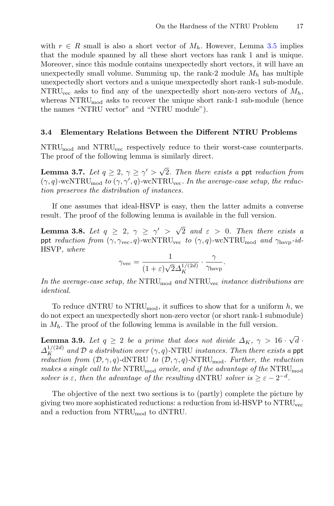with  $r \in R$  small is also a short vector of  $M_h$ . However, Lemma [3.5](#page-12-0) implies that the module spanned by all these short vectors has rank 1 and is unique. Moreover, since this module contains unexpectedly short vectors, it will have an unexpectedly small volume. Summing up, the rank-2 module  $M_h$  has multiple unexpectedly short vectors and a unique unexpectedly short rank-1 sub-module. NTRU<sub>vec</sub> asks to find any of the unexpectedly short non-zero vectors of  $M_h$ , whereas NTRU<sub>mod</sub> asks to recover the unique short rank-1 sub-module (hence the names "NTRU vector" and "NTRU module").

#### <span id="page-14-0"></span>**3.4 Elementary Relations Between the Different NTRU Problems**

 $\text{NTRU}_{\text{mod}}$  and  $\text{NTRU}_{\text{vec}}$  respectively reduce to their worst-case counterparts. The proof of the following lemma is similarly direct.

**Lemma 3.7.** *Let*  $q \geq 2$ ,  $\gamma \geq \gamma' > \sqrt{2}$ *. Then there exists a ppt reduction from*  $(\gamma, q)$ -wcNTRU<sub>mod</sub> to  $(\gamma, \gamma', q)$ -wcNTRU<sub>vec</sub>. In the average-case setup, the reduc*tion preserves the distribution of instances.*

If one assumes that ideal-HSVP is easy, then the latter admits a converse result. The proof of the following lemma is available in the full version.

**Lemma 3.8.** Let  $q \geq 2$ ,  $\gamma \geq \gamma' > \sqrt{2}$  and  $\varepsilon > 0$ . Then there exists a ppt *reduction from*  $(\gamma, \gamma_{\text{vec}}, q)$ -wcNTRU<sub>vec</sub> *to*  $(\gamma, q)$ -wcNTRU<sub>mod</sub> *and*  $\gamma_{\text{hsvp}}$ -*id-*HSVP*, where*

$$
\gamma_{\text{vec}} = \frac{1}{(1+\varepsilon)\sqrt{2}\Delta_K^{1/(2d)}} \cdot \frac{\gamma}{\gamma_{\text{hsvp}}}.
$$

In the average-case setup, the NTRU<sub>mod</sub> and NTRU<sub>vec</sub> instance distributions are *identical.*

To reduce dNTRU to NTRU<sub>mod</sub>, it suffices to show that for a uniform h, we do not expect an unexpectedly short non-zero vector (or short rank-1 submodule) in  $M_h$ . The proof of the following lemma is available in the full version.

**Lemma 3.9.** Let  $q \geq 2$  be a prime that does not divide  $\Delta_K$ ,  $\gamma > 16 \cdot \sqrt{d}$ .  $\Delta_K^{1/(2d)}$  and D *a distribution over*  $(\gamma, q)$ -NTRU *instances. Then there exists a* ppt *reduction from*  $(D, \gamma, q)$ -dNTRU *to*  $(D, \gamma, q)$ -NTRU<sub>mod</sub>. Further, the reduction *makes a single call to the* NTRUmod *oracle, and if the advantage of the* NTRUmod *solver is*  $\varepsilon$ *, then the advantage of the resulting* dNTRU *solver is*  $\geq \varepsilon - 2^{-d}$ *.* 

The objective of the next two sections is to (partly) complete the picture by giving two more sophisticated reductions: a reduction from id-HSVP to NTRUvec and a reduction from NTRUmod to dNTRU.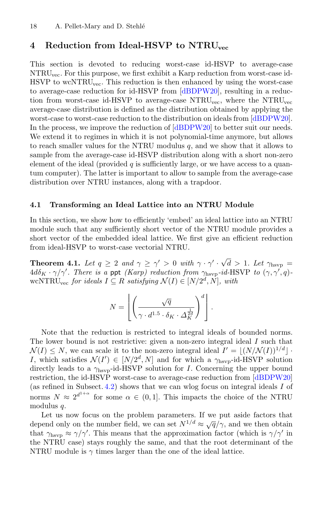## **4 Reduction from Ideal-HSVP to NTRUvec**

This section is devoted to reducing worst-case id-HSVP to average-case NTRUvec. For this purpose, we first exhibit a Karp reduction from worst-case id-HSVP to wcNTRU<sub>vec</sub>. This reduction is then enhanced by using the worst-case to average-case reduction for id-HSVP from [\[dBDPW20](#page-30-5)], resulting in a reduction from worst-case id-HSVP to average-case NTRU<sub>vec</sub>, where the NTRU<sub>vec</sub> average-case distribution is defined as the distribution obtained by applying the worst-case to worst-case reduction to the distribution on ideals from [\[dBDPW20\]](#page-30-5). In the process, we improve the reduction of  $[dBDPW20]$  to better suit our needs. We extend it to regimes in which it is not polynomial-time anymore, but allows to reach smaller values for the NTRU modulus  $q$ , and we show that it allows to sample from the average-case id-HSVP distribution along with a short non-zero element of the ideal (provided  $q$  is sufficiently large, or we have access to a quantum computer). The latter is important to allow to sample from the average-case distribution over NTRU instances, along with a trapdoor.

#### <span id="page-15-1"></span>**4.1 Transforming an Ideal Lattice into an NTRU Module**

In this section, we show how to efficiently 'embed' an ideal lattice into an NTRU module such that any sufficiently short vector of the NTRU module provides a short vector of the embedded ideal lattice. We first give an efficient reduction from ideal-HSVP to worst-case vectorial NTRU.

<span id="page-15-0"></span>**Theorem 4.1.** *Let*  $q \ge 2$  *and*  $\gamma \ge \gamma' > 0$  *with*  $\gamma \cdot \gamma' \cdot \sqrt{d} > 1$ *. Let*  $\gamma_{\text{hsvp}} =$  $4d\delta_K \cdot \gamma/\gamma'$ . There is a ppt *(Karp)* reduction from  $\gamma_{\text{hsep}}$ -id-HSVP to  $(\gamma, \gamma', q)$ wcNTRU<sub>vec</sub> for ideals  $I ⊆ R$  satisfying  $\mathcal{N}(I) ∈ [N/2^d, N]$ *, with*  $n_{\ell}$  $\ddot{\phantom{0}}$ 

$$
N = \left[ \left( \frac{\sqrt{q}}{\gamma \cdot d^{1.5} \cdot \delta_K \cdot \Delta_K^{\frac{1}{2d}}} \right)^d \right].
$$

Note that the reduction is restricted to integral ideals of bounded norms. The lower bound is not restrictive: given a non-zero integral ideal I such that  $\mathcal{N}(I) \leq N$ , we can scale it to the non-zero integral ideal  $I' = \lfloor (N/\mathcal{N}(I))^{1/d} \rfloor$ . I, which satisfies  $\mathcal{N}(I') \in [N/2^d, N]$  and for which a  $\gamma_{\text{hsvp}}$ -id-HSVP solution directly leads to a  $\gamma_{\rm hsvp}$ -id-HSVP solution for *I*. Concerning the upper bound restriction, the id-HSVP worst-case to average-case reduction from [\[dBDPW20](#page-30-5)] (as refined in Subsect. [4.2\)](#page-18-0) shows that we can wlog focus on integral ideals I of norms  $N \approx 2^{d^{1+\alpha}}$  for some  $\alpha \in (0,1]$ . This impacts the choice of the NTRU modulus q.

Let us now focus on the problem parameters. If we put aside factors that depend only on the number field, we can set  $N^{1/d} \approx \sqrt{q}/\gamma$ , and we then obtain that  $\gamma_{\text{hsvp}} \approx \gamma/\gamma'$ . This means that the approximation factor (which is  $\gamma/\gamma'$  in the NTRU case) stays roughly the same, and that the root determinant of the NTRU module is  $\gamma$  times larger than the one of the ideal lattice.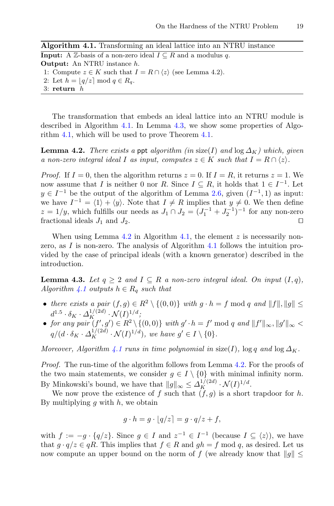**Algorithm 4.1.** Transforming an ideal lattice into an NTRU instance

**Input:** A  $\mathbb{Z}$ -basis of a non-zero ideal  $I \subseteq R$  and a modulus q. **Output:** An NTRU instance h. 1: Compute  $z \in K$  such that  $I = R \cap \langle z \rangle$  (see Lemma 4.2). 2: Let  $h = \lfloor q/z \rfloor \mod q \in R_q$ . 3: **return** h

<span id="page-16-0"></span>The transformation that embeds an ideal lattice into an NTRU module is described in Algorithm [4.1.](#page-16-0) In Lemma [4.3,](#page-16-1) we show some properties of Algorithm [4.1,](#page-16-0) which will be used to prove Theorem [4.1.](#page-15-0)

<span id="page-16-2"></span>**Lemma 4.2.** *There exists a ppt algorithm (in size(I) and*  $\log \Delta_K$ ) which, given *a* non-zero integral ideal I as input, computes  $z \in K$  such that  $I = R \cap \langle z \rangle$ .

*Proof.* If  $I = 0$ , then the algorithm returns  $z = 0$ . If  $I = R$ , it returns  $z = 1$ . We now assume that I is neither 0 nor R. Since  $I \subseteq R$ , it holds that  $1 \in I^{-1}$ . Let  $y \in I^{-1}$  be the output of the algorithm of Lemma [2.6,](#page-9-0) given  $(I^{-1}, 1)$  as input: we have  $I^{-1} = \langle 1 \rangle + \langle y \rangle$ . Note that  $I \neq R$  implies that  $y \neq 0$ . We then define  $z = 1/y$ , which fulfills our needs as  $J_1 \cap J_2 = (J_1^{-1} + J_2^{-1})^{-1}$  for any non-zero fractional ideals  $J_1$  and  $J_2$ .

When using Lemma [4.2](#page-16-2) in Algorithm [4.1,](#page-16-0) the element  $z$  is necessarily nonzero, as I is non-zero. The analysis of Algorithm  $4.1$  follows the intuition provided by the case of principal ideals (with a known generator) described in the introduction.

<span id="page-16-1"></span>**Lemma 4.3.** *Let*  $q \geq 2$  *and*  $I \subseteq R$  *a non-zero integral ideal. On input*  $(I, q)$ *, Algorithm*  $\sqrt{4.1}$  $\sqrt{4.1}$  $\sqrt{4.1}$  *outputs*  $h \in R_q$  *such that* 

- there exists a pair  $(f,g) \in R^2 \setminus \{(0,0)\}$  with  $g \cdot h = f \text{ mod } q$  and  $||f||, ||g|| \le$  $d^{1.5} \cdot \delta_K \cdot \Delta_K^{1/(2d)} \cdot \mathcal{N}(I)^{1/d}$ ;
- *for any pair*  $(f', g') \in R^2 \setminus \{(0, 0)\}$  *with*  $g' \cdot h = f' \text{ mod } q$  *and*  $||f'||_{\infty}, ||g'||_{\infty}$  $q/(d \cdot \delta_K \cdot \Delta_K^{1/(2d)} \cdot \mathcal{N}(I)^{1/d}),$  we have  $g' \in I \setminus \{0\}.$

*Moreover, Algorithm [4.1](#page-16-0) runs in time polynomial in* size(I), log q and log  $\Delta_K$ .

*Proof.* The run-time of the algorithm follows from Lemma [4.2.](#page-16-2) For the proofs of the two main statements, we consider  $g \in I \setminus \{0\}$  with minimal infinity norm. By Minkowski's bound, we have that  $||g||_{\infty} \leq \Delta_K^{1/(2d)} \cdot \mathcal{N}(I)^{1/d}$ .

We now prove the existence of f such that  $(f,g)$  is a short trapdoor for h. By multiplying  $g$  with  $h$ , we obtain

$$
g \cdot h = g \cdot \lfloor q/z \rceil = g \cdot q/z + f,
$$

with  $f := -g \cdot \{q/z\}$ . Since  $g \in I$  and  $z^{-1} \in I^{-1}$  (because  $I \subseteq \langle z \rangle$ ), we have that  $g \cdot q/z \in qR$ . This implies that  $f \in R$  and  $gh = f \mod q$ , as desired. Let us now compute an upper bound on the norm of f (we already know that  $||g|| \leq$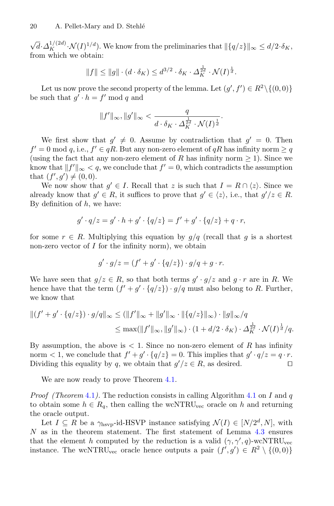$\sqrt{d} \cdot \Delta_K^{1/(2d)} \cdot \mathcal{N}(I)^{1/d}$ . We know from the preliminaries that  $\|\{q/z\}\|_{\infty} \leq d/2 \cdot \delta_K$ , from which we obtain:

$$
||f|| \le ||g|| \cdot (d \cdot \delta_K) \le d^{3/2} \cdot \delta_K \cdot \Delta_K^{\frac{1}{2d}} \cdot \mathcal{N}(I)^{\frac{1}{d}}.
$$

Let us now prove the second property of the lemma. Let  $(g', f') \in R^2 \setminus \{(0, 0)\}\$ be such that  $q' \cdot h = f' \bmod q$  and

$$
||f'||_{\infty}, ||g'||_{\infty} < \frac{q}{d \cdot \delta_K \cdot \Delta^{\frac{1}{2d}}_K \cdot \mathcal{N}(I)^{\frac{1}{d}}}.
$$

We first show that  $g' \neq 0$ . Assume by contradiction that  $g' = 0$ . Then  $f' = 0 \mod q$ , i.e.,  $f' \in qR$ . But any non-zero element of  $qR$  has infinity norm  $\geq q$ (using the fact that any non-zero element of R has infinity norm  $\geq 1$ ). Since we know that  $||f'||_{\infty} < q$ , we conclude that  $f' = 0$ , which contradicts the assumption that  $(f', g') \neq (0, 0)$ .

We now show that  $g' \in I$ . Recall that z is such that  $I = R \cap \langle z \rangle$ . Since we already know that  $g' \in R$ , it suffices to prove that  $g' \in \langle z \rangle$ , i.e., that  $g'/z \in R$ . By definition of  $h$ , we have:

$$
g' \cdot q/z = g' \cdot h + g' \cdot \{q/z\} = f' + g' \cdot \{q/z\} + q \cdot r,
$$

for some  $r \in R$ . Multiplying this equation by  $g/q$  (recall that g is a shortest non-zero vector of  $I$  for the infinity norm), we obtain

$$
g' \cdot g/z = (f' + g' \cdot \{q/z\}) \cdot g/q + g \cdot r.
$$

We have seen that  $g/z \in R$ , so that both terms  $g' \cdot g/z$  and  $g \cdot r$  are in R. We hence have that the term  $(f' + g' \cdot \{q/z\}) \cdot g/q$  must also belong to R. Further, we know that

$$
||(f' + g' \cdot \{q/z\}) \cdot g/q||_{\infty} \le (||f'||_{\infty} + ||g'||_{\infty} \cdot ||\{q/z\}||_{\infty}) \cdot ||g||_{\infty}/q
$$
  

$$
\le \max(||f'||_{\infty}, ||g'||_{\infty}) \cdot (1 + d/2 \cdot \delta_K) \cdot \Delta_K^{\frac{1}{2d}} \cdot \mathcal{N}(I)^{\frac{1}{d}}/q.
$$

By assumption, the above is  $\lt 1$ . Since no non-zero element of R has infinity norm  $\langle 1 \rangle$ , we conclude that  $f' + g' \cdot \{q/z\} = 0$ . This implies that  $g' \cdot q/z = q \cdot r$ .<br>Dividing this equality by q, we obtain that  $g'/z \in R$ , as desired. Dividing this equality by q, we obtain that  $g'/z \in R$ , as desired.

We are now ready to prove Theorem  $4.1$ .

*Proof (Theorem [4.1](#page-16-0)).* The reduction consists in calling Algorithm 4.1 on I and q to obtain some  $h \in R_q$ , then calling the wcNTRU<sub>vec</sub> oracle on h and returning the oracle output.

Let  $I \subseteq R$  be a  $\gamma_{\text{hsvp}}$ -id-HSVP instance satisfying  $\mathcal{N}(I) \in [N/2^d, N]$ , with N as in the theorem statement. The first statement of Lemma [4.3](#page-16-1) ensures that the element h computed by the reduction is a valid  $(\gamma, \gamma', q)$ -wcNTRU<sub>vec</sub> instance. The wcNTRU<sub>vec</sub> oracle hence outputs a pair  $(f', g') \in R^2 \setminus \{(0, 0)\}\$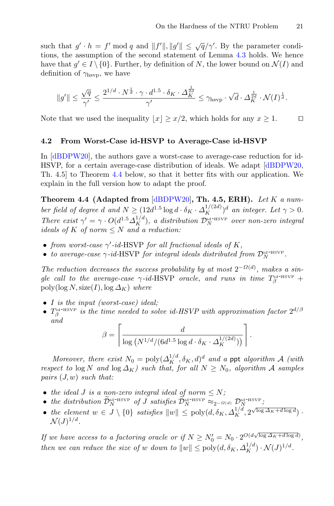such that  $g' \cdot h = f' \mod q$  and  $||f'||, ||g'|| \le \sqrt{q}/\gamma'$ . By the parameter conditions, the assumption of the second statement of Lemma [4.3](#page-16-1) holds. We hence have that  $g' \in I \setminus \{0\}$ . Further, by definition of N, the lower bound on  $\mathcal{N}(I)$  and definition of  $\gamma_{\rm hsvp}$ , we have

$$
\|g'\| \leq \frac{\sqrt{q}}{\gamma'} \leq \frac{2^{1/d} \cdot N^{\frac{1}{d}} \cdot \gamma \cdot d^{1.5} \cdot \delta_K \cdot \varDelta_K^{\frac{1}{2d}}}{\gamma'} \leq \gamma_{\mathrm{hsvp}} \cdot \sqrt{d} \cdot \varDelta_K^{\frac{1}{2d}} \cdot \mathcal{N}(I)^{\frac{1}{d}}.
$$

Note that we used the inequality  $|x| \geq x/2$ , which holds for any  $x \geq 1$ .

#### <span id="page-18-0"></span>**4.2 From Worst-Case id-HSVP to Average-Case id-HSVP**

In [\[dBDPW20](#page-30-5)], the authors gave a worst-case to average-case reduction for id-HSVP, for a certain average-case distribution of ideals. We adapt [\[dBDPW20,](#page-30-5) Th. 4.5] to Theorem [4.4](#page-18-1) below, so that it better fits with our application. We explain in the full version how to adapt the proof.

<span id="page-18-1"></span>**Theorem 4.4 (Adapted from** [\[dBDPW20](#page-30-5)]**, Th. 4.5, ERH).** *Let* K *a number field of degree d and*  $N \geq (12d^{1.5} \log d \cdot \delta_K \cdot \Delta_K^{1/(2d)})^d$  *an integer. Let*  $\gamma > 0$ *. There exist*  $\gamma' = \gamma \cdot O(d^{1.5} \Delta_K^{1/d})$ , a distribution  $\mathcal{D}_N^{\text{id-HSVP}}$  over non-zero integral *ideals of* K *of norm* ≤ N *and a reduction:*

- *from worst-case* γ *-id-*HSVP *for all fractional ideals of* K*,*
- *to average-case*  $\gamma$ -*id*-HSVP *for integral ideals distributed from*  $\mathcal{D}_N^{\text{id-HSVP}}$ .

*The reduction decreases the success probability by at most*  $2^{-\Omega(d)}$ *, makes a sin* $g$ le call to the average-case  $\gamma$ -id-HSVP *oracle*, and runs in time  $T^{\text{id-HSVP}}_{\beta}$  + poly( $\log N$ , size(I),  $\log \Delta_K$ ) *where* 

- I *is the input (worst-case) ideal;*
- $T_{\beta}^{\text{id-HSVP}}$  *is the time needed to solve id-HSVP with approximation factor*  $2^{d/\beta}$ *and*

$$
\begin{aligned}\n\text{(worst-case)} ideal; \\
\text{time needed to solve id-HSVP with approximate} \\
\beta &= \left\lceil \frac{d}{\log \left(N^{1/d} / (6d^{1.5} \log d \cdot \delta_K \cdot \Delta_K^{1/(2d)})\right)} \right\rceil.\n\end{aligned}
$$

*Moreover, there exist*  $N_0 = \text{poly}(\Delta_K^{1/d}, \delta_K, d)^d$  *and a* ppt *algorithm*  $A$  *(with bect* to  $\log N$  *and*  $\log \Delta_K$ *) such that, for all*  $N \ge N_0$ *, algorithm*  $A$  *samples*  $rs$  (*J, w*) *such that:*<br>the *ideal*  $J$  *is a respect to*  $\log N$  *and*  $\log \Delta_K$ *) such that, for all*  $N \geq N_0$ *, algorithm* A *samples pairs* (J, w) *such that: Horeover, there exist*  $N_0 = \text{poly}(\Delta_K^{1/d}, \delta_K, d)^d$  and a ppt algoritive respect to  $\log N$  and  $\log \Delta_K$ ) such that, for all  $N \ge N_0$ , algorithm pairs  $(J, w)$  such that:<br>
• the ideal *J* is a non-zero integral ideal of norm  $\le$ 

- *the ideal J is a non-zero integral ideal of norm*  $\leq N$ ;
- 
- the element  $w \in J \setminus \{0\}$  satisfies  $||w|| \leq \text{poly}(d, \delta_K, \Delta_K^{1/d}, 2^{\sqrt{\log \Delta_K + d \log d}})$ .  $\mathcal{N}(J)^{1/d}$ .

*If we have access to a factoring oracle or if*  $N \geq N_0' = N_0 \cdot 2^{O(d\sqrt{\log \Delta_K + d\log d})},$ *then we can reduce the size of* w *down to*  $||w|| \le \text{poly}(d, \delta_K, \Delta_K^{1/d}) \cdot \mathcal{N}(J)^{1/d}$ .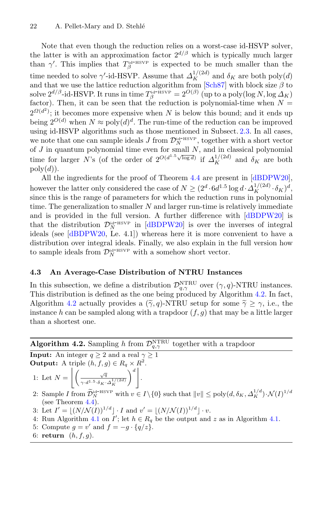Note that even though the reduction relies on a worst-case id-HSVP solver, the latter is with an approximation factor  $2^{d/\beta}$  which is typically much larger than  $\gamma'$ . This implies that  $T_{\beta}^{\text{id-HSVP}}$  is expected to be much smaller than the time needed to solve  $\gamma'$ -id-HSVP. Assume that  $\Delta_K^{1/(2d)}$  and  $\delta_K$  are both poly $(d)$ and that we use the lattice reduction algorithm from [\[Sch87\]](#page-32-0) with block size  $\beta$  to solve  $2^{d/\beta}$ -id-HSVP. It runs in time  $T_\beta^{\text{id-HSVP}} = 2^{O(\beta)}$  (up to a poly(log N, log  $\Delta_K$ ) factor). Then, it can be seen that the reduction is polynomial-time when  $N =$  $2^{\Omega(d^2)}$ ; it becomes more expensive when N is below this bound; and it ends up being  $2^{O(d)}$  when  $N \approx \text{poly}(d)^d$ . The run-time of the reduction can be improved using id-HSVP algorithms such as those mentioned in Subsect. [2.3.](#page-7-1) In all cases, we note that one can sample ideals J from  $\mathcal{D}_N^{\text{id-HSVP}}$ , together with a short vector of  $J$  in quantum polynomial time even for small  $N$ , and in classical polynomial time for larger N's (of the order of  $2^{O(d^{1.5}\sqrt{\log d})}$  if  $\Delta_K^{1/(2d)}$  and  $\delta_K$  are both  $poly(d)).$ 

All the ingredients for the proof of Theorem [4.4](#page-18-1) are present in [\[dBDPW20\]](#page-30-5), however the latter only considered the case of  $N \geq (2^d \cdot 6d^{1.5} \log d \cdot \Delta_K^{1/(2d)} \cdot \delta_K)^d$ , since this is the range of parameters for which the reduction runs in polynomial time. The generalization to smaller  $N$  and larger run-time is relatively immediate and is provided in the full version. A further difference with [\[dBDPW20\]](#page-30-5) is that the distribution  $\mathcal{D}_N^{\scriptscriptstyle{\text{id-HSVP}}}$  in [\[dBDPW20](#page-30-5)] is over the inverses of integral ideals (see [\[dBDPW20](#page-30-5), Le. 4.1]) whereas here it is more convenient to have a distribution over integral ideals. Finally, we also explain in the full version how to sample ideals from  $\mathcal{D}_N^{\text{id-HSVP}}$  with a somehow short vector.

### **4.3 An Average-Case Distribution of NTRU Instances**

<span id="page-19-2"></span>In this subsection, we define a distribution  $\mathcal{D}_{q,\gamma}^{\text{NTRU}}$  over  $(\gamma,q)$ -NTRU instances. This distribution is defined as the one being produced by Algorithm [4.2.](#page-19-0) In fact, **4.3 An Average-Case Distribution of NTRU Instances**<br>In this subsection, we define a distribution  $\mathcal{D}_{q,\gamma}^{\text{NTRU}}$  over  $(\gamma, q)$ -NT<br>This distribution is defined as the one being produced by Algorith<br>Algorithm [4.2](#page-19-0) actual Algorithm 4.2 actually provides a  $(\tilde{\gamma}, q)$ -NTRU setup for some  $\tilde{\gamma} \geq \gamma$ , i.e., the instance h can be sampled along with a trapdoor  $(f,g)$  that may be a little larger than a shortest one.

**Algorithm 4.2.** Sampling h from  $\mathcal{D}_{q,\gamma}^{\text{NTRU}}$  together with a trapdoor

**Input:** An integer  $q \ge 2$  and a real  $\gamma \ge 1$ **Output:** A triple  $(h, f, g) \in R_q \times R^2$ .  $\sqrt{q}$  $\setminus^d$ .

- 1: Let  $N =$  $\overline{\gamma \cdot d^{1.5} \cdot \delta_K \cdot \Delta^{1/(2d)}_K}$
- 2: Sample I from  $\widetilde{\mathcal{D}}_N^{\text{id-HSVP}}$  with  $v \in I \setminus \{0\}$  such that  $||v|| \le \text{poly}(d, \delta_K, \Delta_K^{1/d}) \cdot \mathcal{N}(I)^{1/d}$ (see Theorem  $4.4$ ).
- 3: Let  $I' = \lfloor (N/\mathcal{N}(I))^{1/d} \rfloor \cdot I$  and  $v' = \lfloor (N/\mathcal{N}(I))^{1/d} \rfloor \cdot v$ .
- 4: Run Algorithm [4.1](#page-16-0) on  $I'$ ; let  $h \in R_q$  be the output and z as in Algorithm [4.1.](#page-16-0)
- 5: Compute  $g = v'$  and  $f = -g \cdot \{q/z\}$ .
- <span id="page-19-1"></span><span id="page-19-0"></span>6: **return**  $(h, f, g)$ .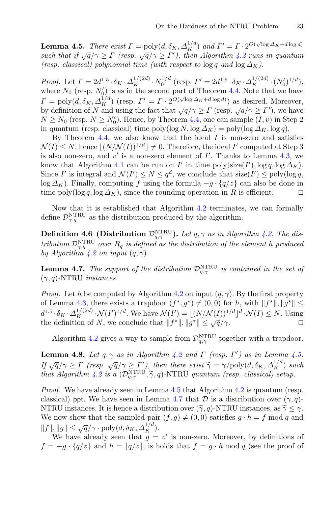**Lemma 4.5.** *There exist*  $\Gamma = \text{poly}(d, \delta_K, \Delta_K^{1/d})$  *and*  $\Gamma' = \Gamma \cdot 2^{O(\sqrt{\log \Delta_K + d \log d})}$ *such that if*  $\sqrt{q}/\gamma \geq \Gamma$  (resp.  $\sqrt{q}/\gamma \geq \Gamma'$ ), then Algorithm [4.2](#page-19-0) runs in quantum *(resp. classical) polynomial time (with respect to*  $\log q$  *and*  $\log \Delta_K$ ).

*Proof.* Let  $\Gamma = 2d^{1.5} \cdot \delta_K \cdot \Delta_K^{1/(2d)} \cdot N_0^{1/d}$  (resp.  $\Gamma' = 2d^{1.5} \cdot \delta_K \cdot \Delta_K^{1/(2d)} \cdot (N'_0)^{1/d}$ ), where  $N_0$  (resp.  $N_0'$ ) is as in the second part of Theorem [4.4.](#page-18-1) Note that we have  $\Gamma = \text{poly}(d, \delta_K, \Delta_K^{1/d})$  (resp.  $\Gamma' = \Gamma \cdot 2^{O(\sqrt{\log \Delta_K + d \log d})}$ ) as desired. Moreover, by definition of N and using the fact that  $\sqrt{q}/\gamma \ge \Gamma$  (resp.  $\sqrt{q}/\gamma \ge \Gamma'$ ), we have  $N \ge N_0$  (resp.  $N \ge N'_0$ ). Hence, by Theorem [4.4,](#page-18-1) one can sample  $(I, v)$  in Step 2 in quantum (resp. classical) time  $\text{poly}(\log N, \log \Delta_K) = \text{poly}(\log \Delta_K, \log q)$ .

By Theorem [4.4,](#page-18-1) we also know that the ideal  $I$  is non-zero and satisfies  $\mathcal{N}(I) \leq N$ , hence  $|(N/\mathcal{N}(I))^{1/d}| \neq 0$ . Therefore, the ideal I' computed at Step 3 is also non-zero, and  $v'$  is a non-zero element of  $I'$ . Thanks to Lemma [4.3,](#page-16-1) we know that Algorithm [4.1](#page-16-0) can be run on  $I'$  in time  $\text{poly}(size(I'), \log q, \log \Delta_K)$ . Since I' is integral and  $\mathcal{N}(I') \leq N \leq q^d$ , we conclude that size(I')  $\leq$  poly(log q, log  $\Delta_K$ ). Finally, computing f using the formula  $-g \cdot \{q/z\}$  can also be done in time poly(log q, log  $\Delta_K$ ), since the rounding operation in R is efficient. time poly(log q, log  $\Delta_K$ ), since the rounding operation in R is efficient.

Now that it is established that Algorithm [4.2](#page-19-0) terminates, we can formally define  $\mathcal{D}_{\gamma,q}^{\rm NTRU}$  as the distribution produced by the algorithm.

**Definition 4.6 (Distribution**  $\mathcal{D}_{q,\gamma}^{\text{NTRU}}$ ). Let  $q, \gamma$  as in Algorithm [4.2.](#page-19-0) The dis*tribution*  $D_{\gamma,q}^{\text{NTRU}}$  *over*  $R_q$  *is defined as the distribution of the element* h *produced by Algorithm [4.2](#page-19-0) on input*  $(q, \gamma)$ *.* 

<span id="page-20-0"></span>**Lemma 4.7.** *The support of the distribution*  $\mathcal{D}_{q,\gamma}^{\text{NTRU}}$  *is contained in the set of* (γ,q)*-*NTRU *instances.*

*Proof.* Let h be computed by Algorithm [4.2](#page-19-0) on input  $(q, \gamma)$ . By the first property of Lemma [4.3,](#page-16-1) there exists a trapdoor  $(f^*, g^*) \neq (0, 0)$  for h, with  $||f^*||, ||g^*|| \le$  $d^{1.5} \cdot \delta_K \cdot \Delta_K^{1/(2d)} \cdot \mathcal{N}(I')^{1/d}$ . We have  $\mathcal{N}(I') = \lfloor (N/\mathcal{N}(I))^{1/d} \rfloor^d \cdot \mathcal{N}(I) \leq N$ . Using the definition of N, we conclude that  $||f^*||, ||g^*|| \le \sqrt{q}/\gamma$ .

Algorithm [4.2](#page-19-0) gives a way to sample from  $\mathcal{D}_{q,\gamma}^{\text{NTRU}}$  together with a trapdoor.

**Lemma 4.8.** *Let*  $q, \gamma$  *as in Algorithm [4.2](#page-19-0) and*  $\Gamma$  (resp.  $\Gamma'$ ) *as in Lemma [4.5.](#page-19-1) If*  $\sqrt{q}/\gamma$ . *If*  $\sqrt{q}/\gamma$  *i C Algorithm 4.2 gives a way to sample from*  $\mathcal{D}_{q,\gamma}^{\text{NTRU}}$  *together with a trapdoor.<br> Lemma 4.8. <i>Let*  $q, \gamma$  *as in Algorithm 4.2 and*  $\Gamma$  *(resp.*  $\Gamma'$ *) <i>as in Lemma 4.5.*<br> *If Algorithm* [4.2](#page-19-0) gives a way to sample from  $\mathcal{D}_{q,\gamma}^{\text{NTRU}}$  together with a trapdo<br> **Lemma 4.8.** Let  $q, \gamma$  as in Algorithm 4.2 and  $\Gamma$  (resp.  $\Gamma'$ ) as in Lemma 4<br> *If*  $\sqrt{q}/\gamma \geq \Gamma$  (resp.  $\sqrt{q}/\gamma \geq \Gamma'$ ), then th

*Proof.* We have already seen in Lemma [4.5](#page-19-1) that Algorithm [4.2](#page-19-0) is quantum (resp. classical) ppt. We have seen in Lemma [4.7](#page-20-0) that  $\mathcal D$  is a distribution over  $(\gamma, q)$ -If  $\sqrt{q/\gamma} \geq I'$  (resp.  $\sqrt{q/\gamma} \geq I'$ ), then there exist  $\gamma = \gamma/\text{poly}(d, \delta_K, \Delta_K^2)$ <br>that Algorithm 4.2 is a  $(\mathcal{D}_{q,\gamma}^{\text{NTRU}}, \tilde{\gamma}, q)$ -NTRU quantum (resp. classical) set<br>Proof. We have already seen in Lemma 4.5 that Algo NTRU instances. It is hence a distribution over  $(\tilde{\gamma}, q)$ -NTRU instances, as  $\tilde{\gamma} \leq \gamma$ . We now show that the sampled pair  $(f,g) \neq (0,0)$  satisfies  $g \cdot h = f \mod q$  and  $||f||, ||g|| \leq \sqrt{q}/\gamma \cdot \text{poly}(d, \delta_K, \Delta_K^{1/d}).$ 

We have already seen that  $g = v'$  is non-zero. Moreover, by definitions of  $f = -g \cdot \{q/z\}$  and  $h = |q/z|$ , is holds that  $f = g \cdot h \mod q$  (see the proof of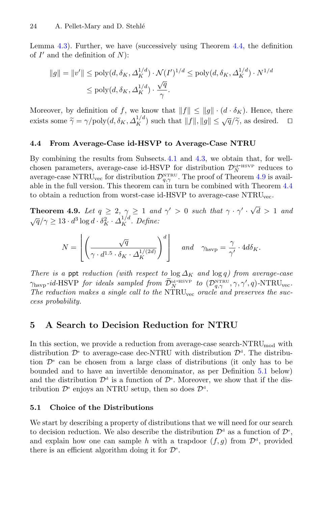Lemma [4.3\)](#page-16-1). Further, we have (successively using Theorem [4.4,](#page-18-1) the definition of  $I'$  and the definition of  $N$ :

$$
||g|| = ||v'|| \le \text{poly}(d, \delta_K, \Delta_K^{1/d}) \cdot \mathcal{N}(I')^{1/d} \le \text{poly}(d, \delta_K, \Delta_K^{1/d}) \cdot N^{1/d}
$$
  

$$
\le \text{poly}(d, \delta_K, \Delta_K^{1/d}) \cdot \frac{\sqrt{q}}{\gamma}.
$$

Moreover, by definition of f, we know that  $||f|| \le ||g|| \cdot (d \cdot \delta_K)$ . Hence, there Some  $\frac{d}{dx} \leq \text{poly}(d, \delta_K, \Delta_K^{1/d}) \cdot \frac{\sqrt{q}}{\gamma}$ .<br>Moreover, by definition of f, we know that  $||f|| \leq ||g|| \cdot (d \cdot \delta_K)$ . Hence, there exists some  $\tilde{\gamma} = \gamma/\text{poly}(d, \delta_K, \Delta_K^{1/d})$  such that  $||f||, ||g|| \leq \sqrt{q}/\tilde{\gamma}$ , as desired.  $\Box$ 

#### **4.4 From Average-Case id-HSVP to Average-Case NTRU**

By combining the results from Subsects. [4.1](#page-15-1) and [4.3,](#page-19-2) we obtain that, for wellchosen parameters, average-case id-HSVP for distribution  $\mathcal{D}_N^{\text{id-HSVP}}$  reduces to average-case NTRU<sub>vec</sub> for distribution  $\mathcal{D}_{q,\gamma}^{\text{NTRU}}$ . The proof of Theorem [4.9](#page-21-2) is available in the full version. This theorem can in turn be combined with Theorem [4.4](#page-18-1) to obtain a reduction from worst-case id-HSVP to average-case NTRU<sub>vec</sub>. ction from worst-case id-H

<span id="page-21-2"></span>**Theorem 4.9.** *Let*  $q \geq 2, \gamma \geq 1$  *and*  $\gamma' > 0$  *such that*  $\gamma \cdot \gamma' \cdot \sqrt{d} > 1$  *and*  $\sqrt{q}/\gamma \geq 13 \cdot d^3 \log d \cdot \delta_K^2 \cdot \Delta_K^{1/d}$ . Define:  $\overline{a}$ 

$$
N = \left[ \left( \frac{\sqrt{q}}{\gamma \cdot d^{1.5} \cdot \delta_K \cdot \Delta_K^{1/(2d)}} \right)^d \right] \quad \text{and} \quad \gamma_{\text{hsvp}} = \frac{\gamma}{\gamma'} \cdot 4d\delta_K.
$$

*There is a ppt reduction (with respect to*  $\log \Delta_K$  *and*  $\log q$ ) from average-case  $N = \left[ \left( \frac{\sqrt{q}}{\gamma \cdot d^{1.5} \cdot \delta_K \cdot \Delta_K^{1/(2d)}} \right)^a \right]$  and  $\gamma_{\text{hsvp}} = \frac{\gamma}{\gamma'} \cdot 4d\delta_K$ .<br>
There is a ppt reduction (with respect to  $\log \Delta_K$  and  $\log q$ ) from average-case  $\gamma_{\text{hsvp}}$ -id-HSVP for ideals sampled from  $\widetilde{D}_{N}^{\$ The reduction makes a single call to the NTRU<sub>vec</sub> oracle and preserves the suc*cess probability.*

## <span id="page-21-1"></span>**5 A Search to Decision Reduction for NTRU**

In this section, we provide a reduction from average-case search- $\rm NTRU_{mod}$  with distribution  $\mathcal{D}^s$  to average-case dec-NTRU with distribution  $\mathcal{D}^d$ . The distribution  $\mathcal{D}^s$  can be chosen from a large class of distributions (it only has to be bounded and to have an invertible denominator, as per Definition [5.1](#page-21-0) below) and the distribution  $\mathcal{D}^d$  is a function of  $\mathcal{D}^s$ . Moreover, we show that if the distribution  $\mathcal{D}^s$  enjoys an NTRU setup, then so does  $\mathcal{D}^d$ .

## **5.1 Choice of the Distributions**

<span id="page-21-0"></span>We start by describing a property of distributions that we will need for our search to decision reduction. We also describe the distribution  $\mathcal{D}^d$  as a function of  $\mathcal{D}^s$ , and explain how one can sample h with a trapdoor  $(f,g)$  from  $\mathcal{D}^d$ , provided there is an efficient algorithm doing it for  $\mathcal{D}^s$ .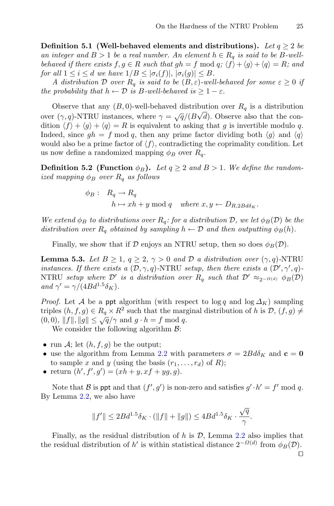**Definition 5.1 (Well-behaved elements and distributions).** Let  $q \geq 2$  be *an integer and*  $B > 1$  *be a real number. An element*  $h \in R_q$  *is said to be*  $B$ -well*behaved if there exists*  $f, g \in R$  *such that*  $gh = f \mod q$ ;  $\langle f \rangle + \langle g \rangle + \langle q \rangle = R$ ; and *for all*  $1 \leq i \leq d$  *we have*  $1/B \leq |\sigma_i(f)|, |\sigma_i(g)| \leq B$ *.* 

*A* distribution D over  $R_q$  is said to be  $(B, \varepsilon)$ -well-behaved for some  $\varepsilon \geq 0$  if *the probability that*  $h \leftarrow \mathcal{D}$  *is B*-well-behaved  $is \geq 1 - \varepsilon$ *.* 

Observe that any  $(B, 0)$ -well-behaved distribution over  $R_q$  is a distribution over  $(\gamma, q)$ -NTRU instances, where  $\gamma = \sqrt{q}/(B\sqrt{d})$ . Observe also that the condition  $\langle f \rangle + \langle g \rangle + \langle q \rangle = R$  is equivalent to asking that g is invertible modulo q. Indeed, since  $gh = f \mod q$ , then any prime factor dividing both  $\langle g \rangle$  and  $\langle q \rangle$ would also be a prime factor of  $\langle f \rangle$ , contradicting the coprimality condition. Let us now define a randomized mapping  $\phi_B$  over  $R_q$ .

**Definition 5.2** (Function  $\phi_B$ ). Let  $q \geq 2$  and  $B > 1$ . We define the random*ized mapping*  $\phi_B$  *over*  $R_q$  *as follows* 

$$
\begin{aligned}\n\phi_B: \quad R_q &\to R_q \\
h &\mapsto xh + y \bmod q \quad \text{where } x, y \leftarrow D_{R,2Bd\delta_K}.\n\end{aligned}
$$

*We extend*  $\phi_B$  *to distributions over*  $R_q$ : for a distribution D, we let  $\phi_B(\mathcal{D})$  be the *distribution over*  $R_q$  *obtained by sampling*  $h \leftarrow \mathcal{D}$  *and then outputting*  $\phi_B(h)$ *.* 

Finally, we show that if  $\mathcal D$  enjoys an NTRU setup, then so does  $\phi_B(\mathcal D)$ .

**Lemma 5.3.** *Let*  $B \geq 1$ ,  $q \geq 2$ ,  $\gamma > 0$  *and*  $D$  *a distribution over*  $(\gamma, q)$ -NTRU *instances. If there exists a*  $(D, \gamma, q)$ -NTRU *setup, then there exists a*  $(D', \gamma', q)$ -NTRU *setup where*  $\mathcal{D}'$  *is a distribution over*  $R_q$  *such that*  $\mathcal{D}' \approx_{2^{-\Omega(d)}} \phi_B(\mathcal{D})$ *and*  $\gamma' = \gamma/(4Bd^{1.5}\delta_K)$ *.* 

*Proof.* Let A be a ppt algorithm (with respect to  $\log q$  and  $\log \Delta K$ ) sampling triples  $(h, f, g) \in R_q \times R^2$  such that the marginal distribution of h is  $\mathcal{D}, (f, g) \neq$  $(0, 0), ||f||, ||g|| \leq \sqrt{q/\gamma}$  and  $g \cdot h = f \mod q$ .

We consider the following algorithm  $\mathcal{B}$ :

- run A; let  $(h, f, q)$  be the output;
- use the algorithm from Lemma [2.2](#page-7-2) with parameters  $\sigma = 2Bd\delta_K$  and  $\mathbf{c} = \mathbf{0}$ to sample x and y (using the basis  $(r_1,\ldots,r_d)$  of R);
- return  $(h', f', g') = (xh + y, xf + yg, g).$

Note that  $\beta$  is ppt and that  $(f', g')$  is non-zero and satisfies  $g' \cdot h' = f' \mod q$ . By Lemma [2.2,](#page-7-2) we also have

$$
||f'|| \leq 2Bd^{1.5}\delta_K \cdot (||f|| + ||g||) \leq 4Bd^{1.5}\delta_K \cdot \frac{\sqrt{q}}{\gamma}.
$$

Finally, as the residual distribution of h is  $\mathcal{D}$ , Lemma [2.2](#page-7-2) also implies that the residual distribution of h' is within statistical distance  $2^{-\Omega(d)}$  from  $\phi_B(\mathcal{D})$ .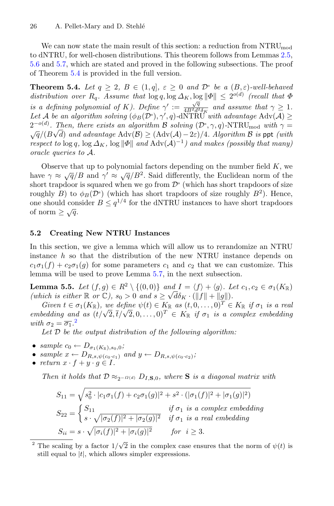We can now state the main result of this section: a reduction from  $\text{NTRU}_{\text{mod}}$ to dNTRU, for well-chosen distributions. This theorem follows from Lemmas [2.5,](#page-8-1) [5.6](#page-24-0) and [5.7,](#page-24-1) which are stated and proved in the following subsections. The proof of Theorem [5.4](#page-23-0) is provided in the full version.

<span id="page-23-0"></span>**Theorem 5.4.** *Let*  $q \geq 2$ ,  $B \in (1,q]$ ,  $\varepsilon \geq 0$  *and*  $\mathcal{D}^s$  *be a*  $(B,\varepsilon)$ *-well-behaved* distribution over  $R_q$ . Assume that  $\log q$ ,  $\log \Delta_K$ ,  $\log ||\Phi|| \leq 2^{o(d)}$  *(recall that*  $\Phi$ *is a defining polynomial of* K*). Define*  $\gamma' := \frac{\sqrt{q}}{4B^2 d^2 \delta_K}$  *and assume that*  $\gamma \geq 1$ *.* Let A *be an algorithm solving*  $(\phi_B(\mathcal{D}^s), \gamma', q)$ *-dNTRU with advantage* Adv(A) ≥  $2^{-o(d)}$ *. Then, there exists an algorithm* B *solving* ( $\mathcal{D}^s$ ,  $\gamma$ , q) $\text{-}NTRU_{\text{mod}}$  *with*  $\gamma = \sqrt{q}/(B\sqrt{d})$  and advantage  $\text{Adv}(\mathcal{B}) \geq (\text{Adv}(\mathcal{A}) - 2\varepsilon)/4$ *. Algorithm* B is ppt (*with*  $\sqrt{d}$ ) and advantage Adv( $\beta$ ) ≥ (Adv( $\mathcal{A}$ ) − 2 $\varepsilon$ )/4*. Algorithm*  $\beta$  *is* ppt *(with*) *respect to*  $\log q$ ,  $\log \Delta_K$ ,  $\log |\Phi|$  *and*  $\text{Adv}(\mathcal{A})^{-1}$ *) and makes (possibly that many) oracle queries to* A*.*

Observe that up to polynomial factors depending on the number field  $K$ , we have  $\gamma \approx \sqrt{q}/B$  and  $\gamma' \approx \sqrt{q}/B^2$ . Said differently, the Euclidean norm of the short trapdoor is squared when we go from  $\mathcal{D}^s$  (which has short trapdoors of size roughly B) to  $\phi_B(\mathcal{D}^s)$  (which has short trapdoors of size roughly  $B^2$ ). Hence, one should consider  $B \n\t\leq q^{1/4}$  for the dNTRU instances to have short trapdoors of norm  $\geq \sqrt{q}$ .

#### **5.2 Creating New NTRU Instances**

In this section, we give a lemma which will allow us to rerandomize an NTRU instance h so that the distribution of the new NTRU instance depends on  $c_1\sigma_1(f) + c_2\sigma_1(g)$  for some parameters  $c_1$  and  $c_2$  that we can customize. This lemma will be used to prove Lemma [5.7,](#page-24-1) in the next subsection.

**Lemma 5.5.** *Let*  $(f, g) \in R^2 \setminus \{(0, 0)\}$  *and*  $I = \langle f \rangle + \langle g \rangle$ . *Let*  $c_1, c_2 \in \sigma_1(K_{\mathbb{R}})$ *(which is either*  $\mathbb{R}$  *or*  $\mathbb{C}$ *),*  $s_0 > 0$  *and*  $s \ge \sqrt{d\delta_K} \cdot (\|f\| + \|g\|)$ .

*Given*  $t \in \sigma_1(K_{\mathbb{R}})$ , we define  $\psi(t) \in K_{\mathbb{R}}$  as  $(t, 0, \ldots, 0)^T \in K_{\mathbb{R}}$  *if*  $\sigma_1$  *is a real embedding and as*  $(t/\sqrt{2}, t/\sqrt{2}, 0, \ldots, 0)^T \in K_{\mathbb{R}}$  *if*  $\sigma_1$  *is a complex embedding with*  $\sigma_2 = \overline{\sigma_1}$  $\sigma_2 = \overline{\sigma_1}$  $\sigma_2 = \overline{\sigma_1}$ .<sup>2</sup>

<span id="page-23-2"></span>*Let* D *be the output distribution of the following algorithm:*

- *sample*  $c_0 \leftarrow D_{\sigma_1(K_{\mathbb{R}}), s_0, 0}$ ;
- sample  $x \leftarrow D_{R,s,\psi(c_0 \cdot c_1)}$  and  $y \leftarrow D_{R,s,\psi(c_0 \cdot c_2)}$ ;
- *return*  $x \cdot f + y \cdot g \in I$ . T.

*Then it holds that*  $D \approx_{2^{-Q(d)}} D_{I,\mathbf{S},0}$ *, where* **S** *is a diagonal matrix with* 

$$
S_{11} = \sqrt{s_0^2 \cdot |c_1 \sigma_1(f) + c_2 \sigma_1(g)|^2 + s^2 \cdot (|\sigma_1(f)|^2 + |\sigma_1(g)|^2)}
$$
  
\n
$$
S_{22} = \begin{cases} S_{11} & \text{if } \sigma_1 \text{ is a complex embedding} \\ s \cdot \sqrt{|\sigma_2(f)|^2 + |\sigma_2(g)|^2} & \text{if } \sigma_1 \text{ is a real embedding} \end{cases}
$$
  
\n
$$
S_{ii} = s \cdot \sqrt{|\sigma_i(f)|^2 + |\sigma_i(g)|^2} \qquad \text{for } i \ge 3.
$$

<span id="page-23-1"></span><sup>&</sup>lt;sup>2</sup> The scaling by a factor  $1/\sqrt{2}$  in the complex case ensures that the norm of  $\psi(t)$  is still equal to  $|t|$ , which allows simpler expressions.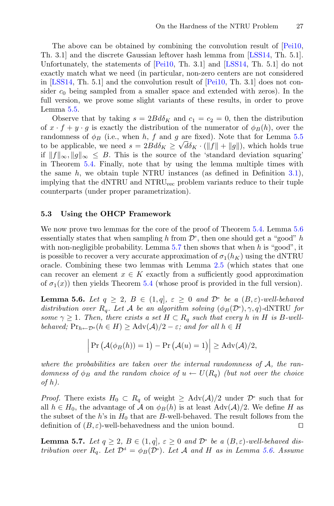The above can be obtained by combining the convolution result of [\[Pei10,](#page-31-15) Th. 3.1] and the discrete Gaussian leftover hash lemma from [\[LSS14](#page-31-8), Th. 5.1]. Unfortunately, the statements of [\[Pei10](#page-31-15), Th. 3.1] and [\[LSS14](#page-31-8), Th. 5.1] do not exactly match what we need (in particular, non-zero centers are not considered in [\[LSS14](#page-31-8), Th. 5.1] and the convolution result of [\[Pei10](#page-31-15), Th. 3.1] does not consider  $c_0$  being sampled from a smaller space and extended with zeros). In the full version, we prove some slight variants of these results, in order to prove Lemma [5.5.](#page-23-2)

Observe that by taking  $s = 2B d\delta_K$  and  $c_1 = c_2 = 0$ , then the distribution of  $x \cdot f + y \cdot g$  is exactly the distribution of the numerator of  $\phi_B(h)$ , over the randomness of  $\phi_B$  (i.e., when h, f and q are fixed). Note that for Lemma [5.5](#page-23-2) to be applicable, we need  $s = 2B d\delta_K \ge \sqrt{d} \delta_K \cdot (\|f\| + \|g\|)$ , which holds true if  $||f||_{\infty}, ||g||_{\infty} \leq B$ . This is the source of the 'standard deviation squaring' in Theorem [5.4.](#page-23-0) Finally, note that by using the lemma multiple times with the same  $h$ , we obtain tuple NTRU instances (as defined in Definition [3.1\)](#page-11-0), implying that the dNTRU and NTRU<sub>vec</sub> problem variants reduce to their tuple counterparts (under proper parametrization).

#### **5.3 Using the OHCP Framework**

We now prove two lemmas for the core of the proof of Theorem [5.4.](#page-23-0) Lemma [5.6](#page-24-0) essentially states that when sampling h from  $\mathcal{D}^s$ , then one should get a "good" h with non-negligible probability. Lemma  $5.7$  then shows that when h is "good", it is possible to recover a very accurate approximation of  $\sigma_1(h_K)$  using the dNTRU oracle. Combining these two lemmas with Lemma [2.5](#page-8-1) (which states that one can recover an element  $x \in K$  exactly from a sufficiently good approximation of  $\sigma_1(x)$ ) then yields Theorem [5.4](#page-23-0) (whose proof is provided in the full version).

<span id="page-24-0"></span>**Lemma 5.6.** *Let*  $q \geq 2$ ,  $B \in (1,q], \varepsilon \geq 0$  *and*  $\mathcal{D}^s$  *be a*  $(B,\varepsilon)$ *-well-behaved distribution over*  $R_q$ *. Let* A *be an algorithm solving*  $(\phi_B(\mathcal{D}^s), \gamma, q)$ *-dNTRU for some*  $\gamma \geq 1$ *. Then, there exists a set*  $H \subset R_q$  *such that every* h *in* H *is* B-well*behaved*;  $Pr_{h \leftarrow \mathcal{D}^s}(h \in H) \geq \text{Adv}(\mathcal{A})/2 - \varepsilon$ ; and for all  $h \in H$ Let  $q \geq 2$ ,  $B \in (1,q]$ ,  $\varepsilon \geq 0$  and<br>
er  $R_q$ . Let A be an algorithm solvin<br>
hen, there exists a set  $H \subset R_q$  such i<br>  $\sup_s (h \in H) \geq \text{Adv}(\mathcal{A})/2 - \varepsilon$ ; and for<br>  $\Pr (\mathcal{A}(\phi_B(h)) = 1) - \Pr (\mathcal{A}(u) = 1)$ 

$$
\left|\Pr\left(\mathcal{A}(\phi_B(h))=1\right)-\Pr\left(\mathcal{A}(u)=1\right)\right|\geq \mathrm{Adv}(\mathcal{A})/2,
$$

*where the probabilities are taken over the internal randomness of* A*, the randomness of*  $\phi_B$  *and the random choice of*  $u \leftarrow U(R_q)$  *(but not over the choice of* h*).*

*Proof.* There exists  $H_0 \text{ }\subset R_q$  of weight  $\geq \text{ Adv}(\mathcal{A})/2$  under  $\mathcal{D}^s$  such that for all  $h \in H_0$ , the advantage of A on  $\phi_B(h)$  is at least  $\text{Adv}(\mathcal{A})/2$ . We define H as the subset of the h's in  $H_0$  that are B-well-behaved. The result follows from the definition of  $(B, \varepsilon)$ -well-behavedness and the union bound.

<span id="page-24-1"></span>**Lemma 5.7.** *Let*  $q \geq 2$ ,  $B \in (1,q]$ ,  $\varepsilon \geq 0$  *and*  $\mathcal{D}^s$  *be a*  $(B,\varepsilon)$ *-well-behaved distribution over*  $R_q$ *. Let*  $\mathcal{D}^d = \phi_B(\mathcal{D}^s)$ *. Let*  $\mathcal A$  *and*  $H$  *as in Lemma [5.6.](#page-24-0)* Assume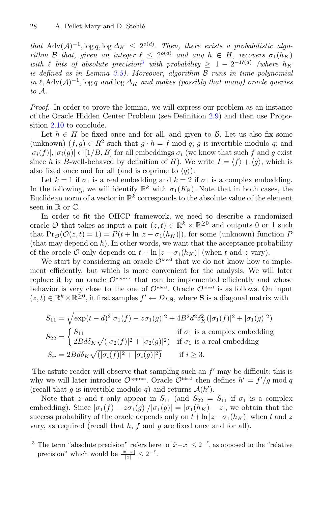*that* Adv $(A)^{-1}$ ,  $\log q$ ,  $\log \Delta_K \leq 2^{o(d)}$ . *Then, there exists a probabilistic algorithm* B *that, given an integer*  $\ell \leq 2^{o(d)}$  *and any*  $h \in H$ *, recovers*  $\sigma_1(h_K)$ *with*  $\ell$  *bits of absolute precision*<sup>[3](#page-25-0)</sup> *with probability*  $\geq 1 - 2^{-\Omega(d)}$  *(where*  $h_K$ *is defined as in Lemma [3.5\)](#page-12-0). Moreover, algorithm* B *runs in time polynomial in*  $\ell$ , Adv( $\mathcal{A}$ )<sup>-1</sup>, log q and log  $\Delta_K$  and makes (possibly that many) oracle queries *to* A*.*

*Proof.* In order to prove the lemma, we will express our problem as an instance of the Oracle Hidden Center Problem (see Definition [2.9\)](#page-10-1) and then use Proposition [2.10](#page-10-0) to conclude.

Let  $h \in H$  be fixed once and for all, and given to  $\mathcal{B}$ . Let us also fix some (unknown)  $(f, q) \in R^2$  such that  $q \cdot h = f \mod q$ ; q is invertible modulo q; and  $|\sigma_i(f)|, |\sigma_i(q)| \in [1/B, B]$  for all embeddings  $\sigma_i$  (we know that such f and q exist since h is B-well-behaved by definition of H). We write  $I = \langle f \rangle + \langle g \rangle$ , which is also fixed once and for all (and is coprime to  $\langle q \rangle$ ).

Let  $k = 1$  if  $\sigma_1$  is a real embedding and  $k = 2$  if  $\sigma_1$  is a complex embedding. In the following, we will identify  $\mathbb{R}^k$  with  $\sigma_1(K_{\mathbb{R}})$ . Note that in both cases, the Euclidean norm of a vector in  $\mathbb{R}^k$  corresponds to the absolute value of the element seen in  $\mathbb R$  or  $\mathbb C$ .

In order to fit the OHCP framework, we need to describe a randomized oracle O that takes as input a pair  $(z, t) \in \mathbb{R}^k \times \mathbb{R}^{\geq 0}$  and outputs 0 or 1 such that  $Pr_{\mathcal{O}}(\mathcal{O}(z,t) = 1) = P(t + \ln |z - \sigma_1(h_K)|)$ , for some (unknown) function P (that may depend on  $h$ ). In other words, we want that the acceptance probability of the oracle  $\mathcal O$  only depends on  $t + \ln |z - \sigma_1(h_K)|$  (when t and z vary).

We start by considering an oracle  $\mathcal{O}^{\text{ideal}}$  that we do not know how to implement efficiently, but which is more convenient for the analysis. We will later replace it by an oracle  $\mathcal{O}^{\text{approx}}$  that can be implemented efficiently and whose behavior is very close to the one of  $\mathcal{O}^{\text{ideal}}$ . Oracle  $\mathcal{O}^{\text{ideal}}$  is as follows. On input  $(z, t) \in \mathbb{R}^k \times \mathbb{R}^{\geq 0}$ , it first samples  $f' \leftarrow D_{I,S}$ , where **S** is a diagonal matrix with

$$
S_{11} = \sqrt{\exp(t-d)^2|\sigma_1(f) - z\sigma_1(g)|^2 + 4B^2d^2\delta_K^2(|\sigma_1(f)|^2 + |\sigma_1(g)|^2)}
$$
  
\n
$$
S_{22} = \begin{cases} S_{11} & \text{if } \sigma_1 \text{ is a complex embedding} \\ 2Bd\delta_K\sqrt{(|\sigma_2(f)|^2 + |\sigma_2(g)|^2)} & \text{if } \sigma_1 \text{ is a real embedding} \end{cases}
$$
  
\n
$$
S_{ii} = 2Bd\delta_K\sqrt{(|\sigma_i(f)|^2 + |\sigma_i(g)|^2)} \quad \text{if } i \ge 3.
$$

The astute reader will observe that sampling such an  $f'$  may be difficult: this is why we will later introduce  $\mathcal{O}^{\text{approx}}$ . Oracle  $\mathcal{O}^{\text{ideal}}$  then defines  $h' = f'/g \mod q$ (recall that g is invertible modulo q) and returns  $\mathcal{A}(h')$ .

Note that z and t only appear in  $S_{11}$  (and  $S_{22} = S_{11}$  if  $\sigma_1$  is a complex embedding). Since  $|\sigma_1(f) - z\sigma_1(g)|/|\sigma_1(g)| = |\sigma_1(h_K) - z|$ , we obtain that the success probability of the oracle depends only on  $t+\ln |z-\sigma_1(h_K)|$  when t and z vary, as required (recall that  $h$ ,  $f$  and  $g$  are fixed once and for all).

<span id="page-25-0"></span><sup>&</sup>lt;sup>3</sup> The term "absolute precision" refers here to  $|\tilde{x}-x| \leq 2^{-\ell}$ , as opposed to the "relative" precision" which would be  $\frac{|\tilde{x} - x|}{|x|} \leq 2^{-\ell}$ .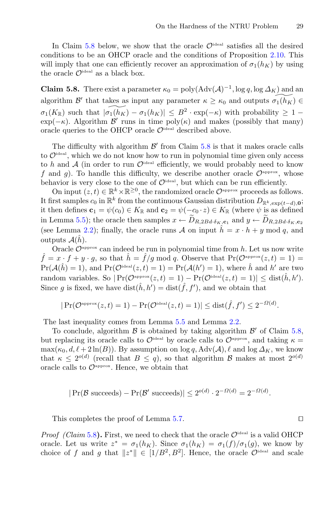In Claim [5.8](#page-26-0) below, we show that the oracle  $\mathcal{O}^{\text{ideal}}$  satisfies all the desired conditions to be an OHCP oracle and the conditions of Proposition [2.10.](#page-10-0) This will imply that one can efficiently recover an approximation of  $\sigma_1(h_K)$  by using the oracle  $\mathcal{O}^{\text{ideal}}$  as a black box.

<span id="page-26-0"></span>**Claim 5.8.** There exist a parameter  $\kappa_0 = \text{poly}(\text{Adv}(\mathcal{A})^{-1}, \log q, \log \Delta_K)$  and an algorithm  $\mathcal{B}'$  that takes as input any parameter  $\kappa \geq \kappa_0$  and outputs  $\widetilde{\sigma_1(h_K)} \in$  $\sigma_1(K_{\mathbb{R}})$  such that  $|\widetilde{\sigma_1(K)} - \sigma_1(h_K)| \leq B^2 \cdot \exp(-\kappa)$  with probability  $\geq 1 - \frac{1}{2}$  $\exp(-\kappa)$ . Algorithm  $\beta'$  runs in time  $\operatorname{poly}(\kappa)$  and makes (possibly that many) oracle queries to the OHCP oracle  $\mathcal{O}^{\text{ideal}}$  described above.

The difficulty with algorithm  $\mathcal{B}'$  from Claim [5.8](#page-26-0) is that it makes oracle calls to  $\mathcal{O}^{\text{ideal}}$ , which we do not know how to run in polynomial time given only access to h and  $A$  (in order to run  $\mathcal{O}^{\text{ideal}}$  efficiently, we would probably need to know f and g). To handle this difficulty, we describe another oracle  $\mathcal{O}^{\text{approx}}$ , whose behavior is very close to the one of  $\mathcal{O}^{\text{ideal}}$ , but which can be run efficiently.

On input  $(z, t) \in \mathbb{R}^k \times \mathbb{R}^{\geq 0}$ , the randomized oracle  $\mathcal{O}^{\text{approx}}$  proceeds as follows. It first samples  $c_0$  in  $\mathbb{R}^k$  from the continuous Gaussian distribution  $D_{\mathbb{R}^k, \exp(t-d),0}$ ; it then defines  $\mathbf{c}_1 = \psi(c_0) \in K_{\mathbb{R}}$  and  $\mathbf{c}_2 = \psi(-c_0 \cdot z) \in K_{\mathbb{R}}$  (where  $\psi$  is as defined j and g). To handle this difficulty, we describe another oracle  $O^{L_1L_2L_3}$ , whose<br>behavior is very close to the one of  $O^{i\text{dual}}$ , but which can be run efficiently.<br>On input  $(z, t) \in \mathbb{R}^k \times \mathbb{R}^{\geq 0}$ , the rando (see Lemma [2.2\)](#page-7-2); finally, the oracle runs A on input  $\hat{h} = x \cdot h + y \mod q$ , and outputs  $\mathcal{A}(h)$ .<br>Oracle  $\mathcal{O}^{\text{approx}}$  can indeed be run in polynomial time from h. Let us now write

 $\hat{f} = x \cdot f + y \cdot g$ , so that  $\hat{h} = \hat{f}/g \mod q$ . Observe that  $Pr(\mathcal{O}^{\text{approx}}(z, t) = 1)$  $Pr(\mathcal{A}(\hat{h}) = 1)$ , and  $Pr(\mathcal{O}^{ideal}(z, t) = 1) = Pr(\mathcal{A}(h') = 1)$ , where  $\hat{h}$  and  $h'$  are two random variables. So  $|\Pr(\mathcal{O}^{\text{approx}}(z,t) = 1) - \Pr(\mathcal{O}^{\text{ideal}}(z,t) = 1)| \leq \text{dist}(\hat{h}, h').$ Since g is fixed, we have  $dist(\hat{h}, h') = dist(\hat{f}, f')$ , and we obtain that

$$
|\Pr(\mathcal{O}^{\text{approx}}(z,t) = 1) - \Pr(\mathcal{O}^{\text{ideal}}(z,t) = 1)| \leq \text{dist}(\hat{f},f') \leq 2^{-\Omega(d)}.
$$

The last inequality comes from Lemma [5.5](#page-23-2) and Lemma [2.2.](#page-7-2)

To conclude, algorithm  $\beta$  is obtained by taking algorithm  $\beta'$  of Claim [5.8,](#page-26-0) but replacing its oracle calls to  $\mathcal{O}^{\text{ideal}}$  by oracle calls to  $\mathcal{O}^{\text{approx}}$ , and taking  $\kappa =$  $\max(\kappa_0, d, \ell+2\ln(B))$ . By assumption on log q, Adv( $\mathcal{A}$ ),  $\ell$  and log  $\Delta_K$ , we know that  $\kappa \leq 2^{o(d)}$  (recall that  $B \leq q$ ), so that algorithm B makes at most  $2^{o(d)}$ oracle calls to  $\mathcal{O}^{\text{approx}}$ . Hence, we obtain that

$$
|\Pr(\mathcal{B} \text{ succeeds}) - \Pr(\mathcal{B}' \text{ succeeds})| \le 2^{o(d)} \cdot 2^{-\Omega(d)} = 2^{-\Omega(d)}.
$$

This completes the proof of Lemma [5.7.](#page-24-1)

*Proof (Claim* [5.8](#page-26-0)). First, we need to check that the oracle  $\mathcal{O}^{\text{ideal}}$  is a valid OHCP oracle. Let us write  $z^* = \sigma_1(h_K)$ . Since  $\sigma_1(h_K) = \sigma_1(f)/\sigma_1(g)$ , we know by choice of f and g that  $||z^*|| \in [1/B^2, B^2]$ . Hence, the oracle  $\mathcal{O}^{\text{ideal}}$  and scale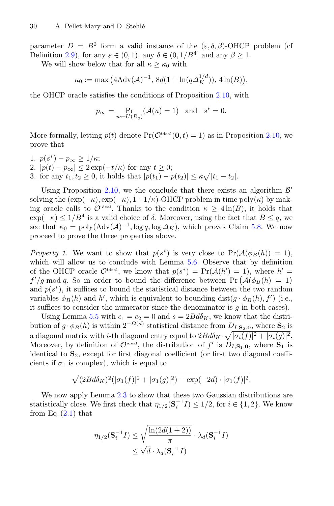parameter  $D = B^2$  form a valid instance of the  $(\varepsilon, \delta, \beta)$ -OHCP problem (cf Definition [2.9\)](#page-10-1), for any  $\varepsilon \in (0,1)$ , any  $\delta \in (0,1/B^4]$  and any  $\beta > 1$ . =  $B^2$  form<br>), for any  $\varepsilon$ <br>low below the  $\kappa_0 := \max$ 

We will show below that for all  $\kappa \geq \kappa_0$  with

$$
\kappa_0 := \max\big(4\mathrm{Adv}(\mathcal{A})^{-1},\, 8d(1 + \ln(q\Delta_K^{1/d})),\, 4\ln(B)\big),\,
$$

the OHCP oracle satisfies the conditions of Proposition [2.10,](#page-10-0) with

$$
p_{\infty} = \Pr_{u \leftarrow U(R_q)} (\mathcal{A}(u) = 1) \text{ and } s^* = 0.
$$

More formally, letting  $p(t)$  denote  $Pr(\mathcal{O}^{\text{ideal}}(\mathbf{0}, t) = 1)$  as in Proposition [2.10,](#page-10-0) we prove that j.

1.  $p(s^*) - p_{\infty} \geq 1/\kappa;$ 2.  $|p(t) - p_{\infty}| \leq 2 \exp(-t/\kappa)$  for any  $t \geq 0$ ; 3. for any  $t_1, t_2 \ge 0$ , it holds that  $|p(t_1) - p(t_2)| \le \kappa \sqrt{|t_1 - t_2|}$ .

Using Proposition [2.10,](#page-10-0) we the conclude that there exists an algorithm  $\mathcal{B}'$ solving the  $(\exp(-\kappa), \exp(-\kappa), 1+1/\kappa)$ -OHCP problem in time poly $(\kappa)$  by making oracle calls to  $\mathcal{O}^{\text{ideal}}$ . Thanks to the condition  $\kappa \geq 4 \ln(B)$ , it holds that  $\exp(-\kappa) \leq 1/B^4$  is a valid choice of  $\delta$ . Moreover, using the fact that  $B \leq q$ , we see that  $\kappa_0 = \text{poly}(\text{Adv}(\mathcal{A})^{-1}, \log q, \log \Delta_K)$ , which proves Claim [5.8.](#page-26-0) We now proceed to prove the three properties above.

*Property 1.* We want to show that  $p(s^*)$  is very close to  $Pr(A(\phi_B(h)) = 1)$ , which will allow us to conclude with Lemma [5.6.](#page-24-0) Observe that by definition of the OHCP oracle  $\mathcal{O}^{\text{ideal}}$ , we know that  $p(s^*) = \Pr(\mathcal{A}(h') = 1)$ , where  $h' =$  $f'/g \mod q$ . So in order to bound the difference between  $\Pr(A(\phi_B(h) = 1))$ coceed to prove the three properties above.<br> *roperty 1*. We want to show that  $p(s^*)$  is very close to  $Pr(A(\phi_B(h)) = 1)$ ,<br>
hich will allow us to conclude with Lemma 5.6. Observe that by definition<br>
the OHCP oracle  $\mathcal{O}^{\text{$ and  $p(s^*)$ , it suffices to bound the statistical distance between the two random variables  $\phi_B(h)$  and h', which is equivalent to bounding dist $(g \cdot \phi_B(h), f')$  (i.e., it suffices to consider the numerator since the denominator is  $g$  in both cases).

Using Lemma [5.5](#page-23-2) with  $c_1 = c_2 = 0$  and  $s = 2Bd\delta_K$ , we know that the distribution of  $g \cdot \phi_B(h)$  is within  $2^{-\Omega(d)}$  statistical distance from  $D_{I,\mathbf{S}_2,\mathbf{0}}$ , where  $\mathbf{S}_2$  is a diagonal matrix with *i*-th diagonal entry equal to  $2Bd\delta_K \cdot \sqrt{|\sigma_i(f)|^2 + |\sigma_i(g)|^2}$ . Moreover, by definition of  $\mathcal{O}^{\text{ideal}}$ , the distribution of  $f'$  is  $D_{I,\mathbf{S}_1,\mathbf{0}}$ , where  $\mathbf{S}_1$  is identical to **S**2, except for first diagonal coefficient (or first two diagonal coefficients if  $\sigma_1$  is complex), which is equal to

$$
\sqrt{(2Bd\delta_K)^2(|\sigma_1(f)|^2+|\sigma_1(g)|^2)+\exp(-2d)\cdot|\sigma_1(f)|^2}.
$$

We now apply Lemma  $2.3$  to show that these two Gaussian distributions are statistically close. We first check that  $\eta_{1/2}(\mathbf{S}_i^{-1}I) \leq 1/2$ , for  $i \in \{1,2\}$ . We know from Eq.  $(2.1)$  that

$$
\eta_{1/2}(\mathbf{S}_i^{-1}I) \le \sqrt{\frac{\ln(2d(1+2))}{\pi}} \cdot \lambda_d(\mathbf{S}_i^{-1}I)
$$

$$
\le \sqrt{d} \cdot \lambda_d(\mathbf{S}_i^{-1}I)
$$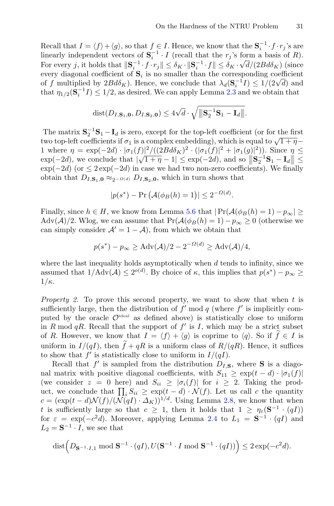Recall that  $I = \langle f \rangle + \langle g \rangle$ , so that  $f \in I$ . Hence, we know that the  $S_i^{-1} \cdot f \cdot r_j$ 's are linearly independent vectors of  $S_i^{-1} \cdot I$  (recall that the r<sub>j</sub>'s form a basis of R). For every j, it holds that  $\|\mathbf{S}_i^{-1} \cdot f \cdot r_j\| \leq \delta_K \cdot \|\mathbf{S}_i^{-1} \cdot f\| \leq \delta_K \cdot \sqrt{d}/(2B d\delta_K)$  (since every diagonal coefficient of  $S_i$  is no smaller than the corresponding coefficient of f multiplied by  $2Bd\delta_K$ ). Hence, we conclude that  $\lambda_d(\mathbf{S}_i^{-1}I) \leq 1/(2\sqrt{d})$  and that  $\eta_{1/2}(\mathbf{S}_i^{-1}I) \leq 1/2$ , as desired. We can apply Lemma [2.3](#page-7-3) and we obtain that

$$
\text{dist}(D_{I,\mathbf{S}_1,\mathbf{0}}, D_{I,\mathbf{S}_2,\mathbf{0}}) \leq 4\sqrt{d} \cdot \sqrt{\|\mathbf{S}_2^{-1}\mathbf{S}_1 - \mathbf{I}_d\|}.
$$

The matrix  $S_2^{-1}S_1 - I_d$  is zero, except for the top-left coefficient (or for the first two top-left coefficients if  $\sigma_1$  is a complex embedding), which is equal to  $\sqrt{1+\eta}$ 1 where  $\eta = \exp(-2d) \cdot |\sigma_1(f)|^2 / ((2B d \delta_K)^2 \cdot (|\sigma_1(f)|^2 + |\sigma_1(g)|^2))$ . Since  $\eta \le$  $\exp(-2d)$ , we conclude that  $|\sqrt{1+\eta}-1| \leq \exp(-2d)$ , and so  $||S_2^{-1}S_1 - I_d|| \leq \exp(-2d)$  $\exp(-2d)$  (or  $\leq 2 \exp(-2d)$  in case we had two non-zero coefficients). We finally obtain that  $D_{I,\mathbf{S}_1,\mathbf{0}} \approx_{2^{-Q(d)}} D_{I,\mathbf{S}_2,\mathbf{0}}$ , which in turn shows that  $d) \cdot |\sigma_1(f)|^2 / ((2Bd\delta_K)^2 \cdot ($ <br>
de that  $|\sqrt{1+\eta}-1| \leq \exp(-2d)$  in case we had two  $\beta_2$ - $\alpha$ (a)  $D_{I,\mathbf{S}_2,\mathbf{0}}$ , which in tu<br>  $|p(s^*) - \Pr(A(\phi_B(h) = 1))|$ 

$$
|p(s^*) - \Pr\left(\mathcal{A}(\phi_B(h) = 1)\right)| \le 2^{-\Omega(d)}.
$$

Finally, since  $h \in H$ , we know from Lemma [5.6](#page-24-0) that  $|\Pr(A(\phi_B(h) = 1) - p_\infty)| \ge$ Adv(A)/2. Wlog, we can assume that  $Pr(A(\phi_B(h) = 1) - p_\infty \ge 0$  (otherwise we can simply consider  $A' = 1 - A$ , from which we obtain that

$$
p(s^*) - p_{\infty} \ge \text{Adv}(\mathcal{A})/2 - 2^{-\Omega(d)} \ge \text{Adv}(\mathcal{A})/4,
$$

where the last inequality holds asymptotically when  $d$  tends to infinity, since we assumed that  $1/\text{Adv}(\mathcal{A}) \leq 2^{o(d)}$ . By choice of  $\kappa$ , this implies that  $p(s^*) - p_{\infty} \geq$  $1/\kappa$ .

*Property 2.* To prove this second property, we want to show that when t is sufficiently large, then the distribution of  $f' \mod q$  (where  $f'$  is implicitly computed by the oracle  $\mathcal{O}^{\text{ideal}}$  as defined above) is statistically close to uniform in R mod qR. Recall that the support of  $f'$  is I, which may be a strict subset of R. However, we know that  $I = \langle f \rangle + \langle g \rangle$  is coprime to  $\langle q \rangle$ . So if  $f \in I$  is uniform in  $I/(qI)$ , then  $f + qR$  is a uniform class of  $R/(qR)$ . Hence, it suffices  $\mathbf{u}$ to show that  $f'$  is statistically close to uniform in  $I/(qI)$ .

Recall that  $f'$  is sampled from the distribution  $D_{I,\mathbf{S}}$ , where **S** is a diagonal matrix with positive diagonal coefficients, with  $S_{11} \geq \exp(t-d) \cdot |\sigma_1(f)|$ (we consider  $z = 0$  here) and  $S_{ii} \geq |\sigma_i(f)|$  for  $i \geq 2$ . Taking the produniform in  $I/(qI)$ , then  $\tilde{f} + qR$  is a uniform class of  $R/(qR)$ . Hence, it suffices<br>to show that  $f'$  is statistically close to uniform in  $I/(qI)$ .<br>Recall that  $f'$  is sampled from the distribution  $D_{I,S}$ , where **S** i  $c = (\exp(t - d) \mathcal{N}(f) / (\mathcal{N}(qI) \cdot \Delta_K))^{1/d}$ . Using Lemma [2.8,](#page-10-2) we know that when t is sufficiently large so that  $c \geq 1$ , then it holds that  $1 \geq \eta_{\varepsilon}(\mathbf{S}^{-1} \cdot (qI))$ for  $\varepsilon = \exp(-c^2 d)$ . Moreover, applying Lemma [2.4](#page-7-4) to  $L_1 = \mathbf{S}^{-1} \cdot (qI)$  and  $L_2 = \mathbf{S}^{-1} \cdot I$ , we see that  $(\exp(t-d)\mathcal{N}(f)/(\mathcal{N}(qI)\cdot\Delta_K))^{1/d}$ . Using Lemma 2.8, v<br>
sufficiently large so that  $c \geq 1$ , then it holds that  $\varepsilon = \exp(-c^2d)$ . Moreover, applying Lemma 2.4 to  $L_1 = \mathbf{S}^{-1} \cdot I$ , we see that<br>
dist  $(D_{\mathbf{S}^{-1} \cdot I,1} \mod \mathbf{$ 

$$
\text{dist}\Big(D_{\mathbf{S}^{-1}\cdot I,1}\bmod{\mathbf{S}^{-1}\cdot(qI)},U(\mathbf{S}^{-1}\cdot I\bmod{\mathbf{S}^{-1}\cdot(qI)})\Big)\leq 2\exp(-c^2d).
$$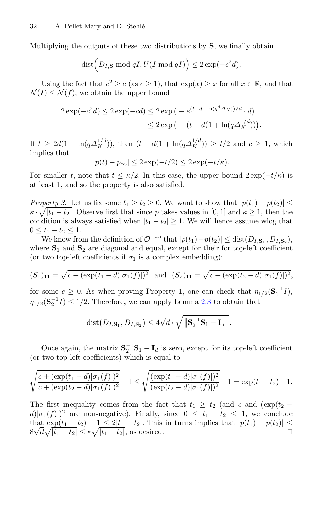Multiplying the outputs of these two distributions by **S**, we finally obtain

-Mary and D. Stehlé  
outputs of these two distributions by **S**, we fina  

$$
dist(D_{I,S} \mod qI, U(I \mod qI)) \leq 2 exp(-c^2d).
$$

Using the fact that  $c^2 \ge c$  (as  $c \ge 1$ ), that  $\exp(x) \ge x$  for all  $x \in \mathbb{R}$ , and that  $\mathcal{N}(I) \leq \mathcal{N}(f)$ , we obtain the upper bound dist  $(D_I, \textbf{s} \mod qI, U(I \mod qI))$ <br>the fact that  $c^2 \ge c$  (as  $c \ge 1$ ), that<br> $\mathcal{N}(f)$ , we obtain the upper bound<br> $2 \exp(-c^2 d) \le 2 \exp(-cd) \le 2 \exp(-c)$ 

the fact that 
$$
c^2 \ge c
$$
 (as  $c \ge 1$ ), that  $\exp(x) \ge x$  for all  $x \in \mathbb{R}$ ,  
\n $\mathcal{N}(f)$ , we obtain the upper bound  
\n $2 \exp(-c^2 d) \le 2 \exp(-cd) \le 2 \exp(-e^{(t-d-\ln(q^d\Delta_K))/d} \cdot d)$   
\n $\le 2 \exp(-t - d(1 + \ln(q\Delta_K^{1/d}))).$ 

If  $t \geq 2d(1 + \ln(q\Delta_K^{1/d}))$ , then  $(t - d(1 + \ln(q\Delta_K^{1/d})) \geq t/2$  and  $c \geq 1$ , which implies that

$$
|p(t) - p_{\infty}| \le 2 \exp(-t/2) \le 2 \exp(-t/\kappa).
$$

For smaller t, note that  $t \leq \kappa/2$ . In this case, the upper bound  $2 \exp(-t/\kappa)$  is at least 1, and so the property is also satisfied.

*Property 3.* Let us fix some  $t_1 \geq t_2 \geq 0$ . We want to show that  $|p(t_1) - p(t_2)| \leq$  $\kappa \cdot \sqrt{|t_1 - t_2|}$ . Observe first that since p takes values in [0, 1] and  $\kappa \ge 1$ , then the condition is always satisfied when  $|t_1 - t_2| \geq 1$ . We will hence assume wlog that  $0 \le t_1 - t_2 \le 1.$ 

We know from the definition of  $\mathcal{O}^{\text{ideal}}$  that  $|p(t_1)-p(t_2)| \leq \text{dist}(D_{I,\mathbf{S}_1}, D_{I,\mathbf{S}_2}),$ where **S**<sup>1</sup> and **S**<sup>2</sup> are diagonal and equal, except for their for top-left coefficient (or two top-left coefficients if  $\sigma_1$  is a complex embedding): (S<sub>1</sub>)<sub>11</sub> =  $0 \le t_1 - t_2 \le 1$ .<br>
We know from the definition of  $\mathcal{O}^{\text{ideal}}$  that  $|p(t_1) - p(t_2)| \le \text{dist}(D_{I, \mathbf{S}_1}, D_{I, \mathbf{S}_2})$ ,<br>
where **S**<sub>1</sub> and **S**<sub>2</sub> are diagonal and equal, except for their for top-left coefficient<br>

$$
(S_1)_{11} = \sqrt{c + (\exp(t_1 - d)|\sigma_1(f)|)^2}
$$
 and  $(S_2)_{11} = \sqrt{c + (\exp(t_2 - d)|\sigma_1(f)|)^2}$ ,

for some  $c \geq 0$ . As when proving Property 1, one can check that  $\eta_{1/2}(\mathbf{S}_1^{-1}I)$ ,  $\eta_{1/2}(\mathbf{S}_2^{-1}I) \leq 1/2$ . Therefore, we can apply Lemma [2.3](#page-7-3) to obtain that  $\exp(t_1)$ <br>As w<br>:. The<br>dist (

$$
\text{dist}(D_{I,\mathbf{S}_1}, D_{I,\mathbf{S}_2}) \leq 4\sqrt{d} \cdot \sqrt{\|\mathbf{S}_2^{-1}\mathbf{S}_1 - \mathbf{I}_d\|}.
$$

Once again, the matrix  $S_2^{-1}S_1 - I_d$  is zero, except for its top-left coefficient (or two top-left coefficients) which is equal to

$$
\sqrt{\frac{c + (\exp(t_1 - d)|\sigma_1(f)|)^2}{c + (\exp(t_2 - d)|\sigma_1(f)|)^2}} - 1 \le \sqrt{\frac{(\exp(t_1 - d)|\sigma_1(f)|)^2}{(\exp(t_2 - d)|\sigma_1(f)|)^2}} - 1 = \exp(t_1 - t_2) - 1.
$$

The first inequality comes from the fact that  $t_1 \geq t_2$  (and c and (exp( $t_2$  −  $d|_{\sigma_1}(f)|^2$  are non-negative). Finally, since  $0 \leq t_1 - t_2 \leq 1$ , we conclude that  $\exp(t_1 - t_2) - 1 \leq 2|t_1 - t_2|$ . This in turns implies that  $|p(t_1) - p(t_2)| \leq 8\sqrt{d}\sqrt{|t_1 - t_2|} \leq \kappa \sqrt{|t_1 - t_2|}$ , as desired.  $8\sqrt{d}\sqrt{|t_1 - t_2|} \le \kappa \sqrt{|t_1 - t_2|}$ , as desired.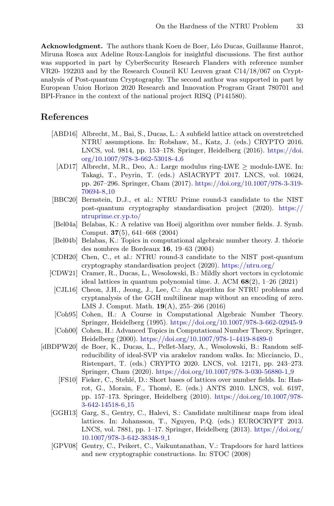**Acknowledgment.** The authors thank Koen de Boer, L´eo Ducas, Guillaume Hanrot, Miruna Rosca aux Adeline Roux-Langlois for insightful discussions. The first author was supported in part by CyberSecurity Research Flanders with reference number VR20- 192203 and by the Research Council KU Leuven grant C14/18/067 on Cryptanalysis of Post-quantum Cryptography. The second author was supported in part by European Union Horizon 2020 Research and Innovation Program Grant 780701 and BPI-France in the context of the national project RISQ (P141580).

### **References**

- <span id="page-30-2"></span>[ABD16] Albrecht, M., Bai, S., Ducas, L.: A subfield lattice attack on overstretched NTRU assumptions. In: Robshaw, M., Katz, J. (eds.) CRYPTO 2016. LNCS, vol. 9814, pp. 153–178. Springer, Heidelberg (2016). [https://doi.](https://doi.org/10.1007/978-3-662-53018-4_6) [org/10.1007/978-3-662-53018-4](https://doi.org/10.1007/978-3-662-53018-4_6) 6
- <span id="page-30-6"></span>[AD17] Albrecht, M.R., Deo, A.: Large modulus ring-LWE ≥ module-LWE. In: Takagi, T., Peyrin, T. (eds.) ASIACRYPT 2017. LNCS, vol. 10624, pp. 267–296. Springer, Cham (2017). [https://doi.org/10.1007/978-3-319-](https://doi.org/10.1007/978-3-319-70694-8_10) [70694-8](https://doi.org/10.1007/978-3-319-70694-8_10) 10
- <span id="page-30-1"></span>[BBC20] Bernstein, D.J., et al.: NTRU Prime round-3 candidate to the NIST post-quantum cryptography standardisation project (2020). [https://](https://ntruprime.cr.yp.to/) [ntruprime.cr.yp.to/](https://ntruprime.cr.yp.to/)
- <span id="page-30-9"></span>[Bel04a] Belabas, K.: A relative van Hoeij algorithm over number fields. J. Symb. Comput. **37**(5), 641–668 (2004)
- <span id="page-30-11"></span>[Bel04b] Belabas, K.: Topics in computational algebraic number theory. J. théorie des nombres de Bordeaux **16**, 19–63 (2004)
- <span id="page-30-0"></span>[CDH20] Chen, C., et al.: NTRU round-3 candidate to the NIST post-quantum cryptography standardisation project (2020). <https://ntru.org/>
- <span id="page-30-13"></span><span id="page-30-3"></span>[CDW21] Cramer, R., Ducas, L., Wesolowski, B.: Mildly short vectors in cyclotomic ideal lattices in quantum polynomial time. J. ACM **68**(2), 1–26 (2021)
	- [CJL16] Cheon, J.H., Jeong, J., Lee, C.: An algorithm for NTRU problems and cryptanalysis of the GGH multilinear map without an encoding of zero. LMS J. Comput. Math. **19**(A), 255–266 (2016)
	- [Coh95] Cohen, H.: A Course in Computational Algebraic Number Theory. Springer, Heidelberg (1995). <https://doi.org/10.1007/978-3-662-02945-9>
	- [Coh00] Cohen, H.: Advanced Topics in Computational Number Theory. Springer, Heidelberg (2000). <https://doi.org/10.1007/978-1-4419-8489-0>
- <span id="page-30-12"></span><span id="page-30-10"></span><span id="page-30-8"></span><span id="page-30-7"></span><span id="page-30-5"></span><span id="page-30-4"></span>[dBDPW20] de Boer, K., Ducas, L., Pellet-Mary, A., Wesolowski, B.: Random selfreducibility of ideal-SVP via arakelov random walks. In: Micciancio, D., Ristenpart, T. (eds.) CRYPTO 2020. LNCS, vol. 12171, pp. 243–273. Springer, Cham (2020). [https://doi.org/10.1007/978-3-030-56880-1](https://doi.org/10.1007/978-3-030-56880-1_9) 9
	- [FS10] Fieker, C., Stehl´e, D.: Short bases of lattices over number fields. In: Hanrot, G., Morain, F., Thomé, E. (eds.) ANTS 2010. LNCS, vol. 6197, pp. 157–173. Springer, Heidelberg (2010). [https://doi.org/10.1007/978-](https://doi.org/10.1007/978-3-642-14518-6_15) [3-642-14518-6](https://doi.org/10.1007/978-3-642-14518-6_15) 15
	- [GGH13] Garg, S., Gentry, C., Halevi, S.: Candidate multilinear maps from ideal lattices. In: Johansson, T., Nguyen, P.Q. (eds.) EUROCRYPT 2013. LNCS, vol. 7881, pp. 1–17. Springer, Heidelberg  $(2013)$ . [https://doi.org/](https://doi.org/10.1007/978-3-642-38348-9_1) [10.1007/978-3-642-38348-9](https://doi.org/10.1007/978-3-642-38348-9_1) 1
	- [GPV08] Gentry, C., Peikert, C., Vaikuntanathan, V.: Trapdoors for hard lattices and new cryptographic constructions. In: STOC (2008)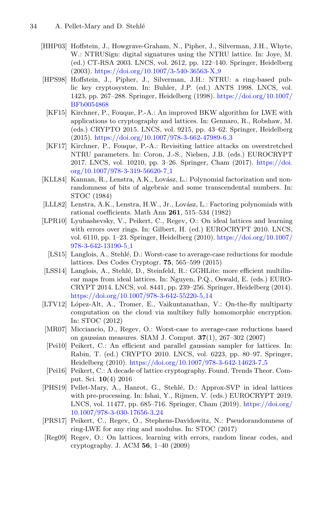- <span id="page-31-4"></span>[HHP03] Hoffstein, J., Howgrave-Graham, N., Pipher, J., Silverman, J.H., Whyte, W.: NTRUSign: digital signatures using the NTRU lattice. In: Joye, M. (ed.) CT-RSA 2003. LNCS, vol. 2612, pp. 122–140. Springer, Heidelberg (2003). [https://doi.org/10.1007/3-540-36563-X](https://doi.org/10.1007/3-540-36563-X_9) 9
- <span id="page-31-1"></span><span id="page-31-0"></span>[HPS98] Hoffstein, J., Pipher, J., Silverman, J.H.: NTRU: a ring-based public key cryptosystem. In: Buhler, J.P. (ed.) ANTS 1998. LNCS, vol. 1423, pp. 267–288. Springer, Heidelberg (1998). [https://doi.org/10.1007/](https://doi.org/10.1007/BFb0054868) [BFb0054868](https://doi.org/10.1007/BFb0054868)
	- [KF15] Kirchner, P., Fouque, P.-A.: An improved BKW algorithm for LWE with applications to cryptography and lattices. In: Gennaro, R., Robshaw, M. (eds.) CRYPTO 2015. LNCS, vol. 9215, pp. 43–62. Springer, Heidelberg (2015). [https://doi.org/10.1007/978-3-662-47989-6](https://doi.org/10.1007/978-3-662-47989-6_3) 3
	- [KF17] Kirchner, P., Fouque, P.-A.: Revisiting lattice attacks on overstretched NTRU parameters. In: Coron, J.-S., Nielsen, J.B. (eds.) EUROCRYPT 2017. LNCS, vol. 10210, pp. 3–26. Springer, Cham (2017). [https://doi.](https://doi.org/10.1007/978-3-319-56620-7_1) [org/10.1007/978-3-319-56620-7](https://doi.org/10.1007/978-3-319-56620-7_1) 1
- <span id="page-31-10"></span><span id="page-31-2"></span>[KLL84] Kannan, R., Lenstra, A.K., Lovász, L.: Polynomial factorization and nonrandomness of bits of algebraic and some transcendental numbers. In: STOC (1984)
- <span id="page-31-9"></span>[LLL82] Lenstra, A.K., Lenstra, H.W., Jr., Lovász, L.: Factoring polynomials with rational coefficients. Math Ann **261**, 515–534 (1982)
- <span id="page-31-5"></span>[LPR10] Lyubashevsky, V., Peikert, C., Regev, O.: On ideal lattices and learning with errors over rings. In: Gilbert, H. (ed.) EUROCRYPT 2010. LNCS, vol. 6110, pp. 1–23. Springer, Heidelberg (2010). [https://doi.org/10.1007/](https://doi.org/10.1007/978-3-642-13190-5_1) [978-3-642-13190-5](https://doi.org/10.1007/978-3-642-13190-5_1) 1
	- [LS15] Langlois, A., Stehlé, D.: Worst-case to average-case reductions for module lattices. Des Codes Cryptogr. **75**, 565–599 (2015)
- <span id="page-31-11"></span><span id="page-31-8"></span>[LSS14] Langlois, A., Stehlé, D., Steinfeld, R.: GGHLite: more efficient multilinear maps from ideal lattices. In: Nguyen, P.Q., Oswald, E. (eds.) EURO-CRYPT 2014. LNCS, vol. 8441, pp. 239–256. Springer, Heidelberg (2014). [https://doi.org/10.1007/978-3-642-55220-5](https://doi.org/10.1007/978-3-642-55220-5_14) 14
- <span id="page-31-3"></span>[LTV12] López-Alt, A., Tromer, E., Vaikuntanathan, V.: On-the-fly multiparty computation on the cloud via multikey fully homomorphic encryption. In: STOC (2012)
- <span id="page-31-12"></span>[MR07] Micciancio, D., Regev, O.: Worst-case to average-case reductions based on gaussian measures. SIAM J. Comput. **37**(1), 267–302 (2007)
- <span id="page-31-15"></span>[Pei10] Peikert, C.: An efficient and parallel gaussian sampler for lattices. In: Rabin, T. (ed.) CRYPTO 2010. LNCS, vol. 6223, pp. 80–97. Springer, Heidelberg (2010). [https://doi.org/10.1007/978-3-642-14623-7](https://doi.org/10.1007/978-3-642-14623-7_5) 5
- <span id="page-31-6"></span>[Pei16] Peikert, C.: A decade of lattice cryptography. Found. Trends Theor. Comput. Sci. **10**(4) 2016
- <span id="page-31-14"></span>[PHS19] Pellet-Mary, A., Hanrot, G., Stehl´e, D.: Approx-SVP in ideal lattices with pre-processing. In: Ishai, Y., Rijmen, V. (eds.) EUROCRYPT 2019. LNCS, vol. 11477, pp. 685–716. Springer, Cham (2019). [https://doi.org/](https://doi.org/10.1007/978-3-030-17656-3_24) [10.1007/978-3-030-17656-3](https://doi.org/10.1007/978-3-030-17656-3_24) 24
- <span id="page-31-7"></span>[PRS17] Peikert, C., Regev, O., Stephens-Davidowitz, N.: Pseudorandomness of ring-LWE for any ring and modulus. In: STOC (2017)
- <span id="page-31-13"></span>[Reg09] Regev, O.: On lattices, learning with errors, random linear codes, and cryptography. J. ACM **56**, 1–40 (2009)